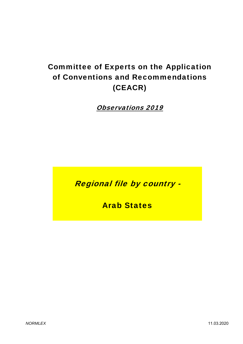# Committee of Experts on the Application of Conventions and Recommendations (CEACR)

Observations 2019

Regional file by country -

Arab States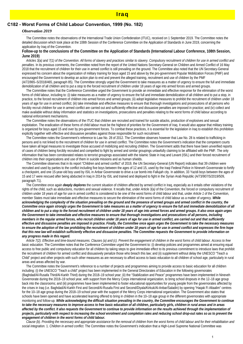## Iraq

## **C182 - Worst Forms of Child Labour Convention, 1999 (No. 182)**

#### *Observation 2019*

 The Committee notes the observations of the International Trade Union Confederation (ITUC), received on 1 September 2019. The Committee notes the detailed discussion which took place at the 108th Session of the Conference Committee on the Application of Standards in June 2019, concerning the application by Iraq of the Convention.

#### **Follow-up to the conclusions of the Committee on the Application of Standards (International Labour Conference, 108th Session, June 2019)**

 *Articles 3(a) and 7(1) of the Convention. All forms of slavery and practices similar to slavery. Compulsory recruitment of children for use in armed conflict and penalties.* In its previous comments, the Committee noted from the report of the United Nations Secretary-General on Children and Armed Conflict of 16 May 2018 that the recruitment of children for their use in armed conflict is still prevailing on the ground. The Committee also noted that the UN Secretary-General expressed his concern about the organization of military training for boys aged 15 and above by the pro-government Popular Mobilization Forces (PMF) and encouraged the Government to develop an action plan to end and prevent the alleged training, recruitment and use of children by the PMF (A/72/865–S/2018/465, paragraph 85). The Committee strongly urged the Government to take measures as a matter of urgency to ensure the full and immediate demobilization of all children and to put a stop to the forced recruitment of children under 18 years of age into armed forces and armed groups.

 The Committee notes that the Conference Committee urged the Government to provide an immediate and effective response for the elimination of the worst forms of child labour, including to: (i) take measures as a matter of urgency to ensure the full and immediate demobilization of all children and to put a stop, in practice, to the forced recruitment of children into armed forces and armed groups; (ii) adopt legislative measures to prohibit the recruitment of children under 18 years of age for use in armed conflict; (iii) take immediate and effective measures to ensure that thorough investigations and prosecutions of all persons who forcibly recruit children for use in armed conflict are carried out and sufficiently effective and dissuasive penalties are imposed in practice; and (iv) collect and make available without delay information and statistics on investigations, prosecutions and penalties relating to the worst forms of child labour according to national enforcement mechanisms.

 The Committee notes the observations of the ITUC that children are recruited and trained for suicide attacks, production of explosives and sexual exploitation. The eradication of these forms of child labour must be the highest of priorities for the Government of Iraq. It would also appear that military training is organized for boys aged 15 and over by pro-government forces. To combat these practices, it is essential for the legislation in Iraq to establish this prohibition explicitly together with effective and dissuasive penalties against those responsible for such recruitment.

 The Committee notes the Government's reference to Law No. 28 of 2012. The Committee observes however that Law No. 28 is related to trafficking in persons and is not linked to the recruitment of children for use in armed conflict. The Committee notes the Government's indication that the competent courts have taken all legal measures to investigate those accused of mobilizing and recruiting children. The Government adds that there have been unverified reports of cases of children being forcibly recruited and compelled to fight by armed and similar groupings unlawfully claiming to be affiliated with the PMF. The only information that has been corroborated relates to terrorist groupings associated with the Islamic State in Iraq and Levant (ISIL) and their forced recruitment of children into their organizations and use of them in suicide missions and as human shields.

 The Committee observes that in its report "Children and armed conflict" of 2019, the UN Secretary-General (UN Report) indicates that 39 children were recruited and used by parties to the conflict including five boys between the ages of 12 and 15, used by the Iraqi Federal Police in Nineveh Governorate to fortify a checkpoint, and one 15-year-old boy used by ISIL in Anbar Governorate to drive a car bomb into Fallujah city. In addition, 33 Yazidi boys between the ages of 15 and 17 were rescued after being abducted in Iraq in 2014 by ISIL and trained and deployed to fight in the Syrian Arab Republic (A/73/907/S/2019/509, paragraph 71).

 The Committee once again *deeply deplores* the current situation of children affected by armed conflict in Iraq, especially as it entails other violations of the rights of the child, such as abductions, murders and sexual violence. It recalls that, under *Article 3(a)* of the Convention, the forced or compulsory recruitment of children under 18 years of age for use in armed conflict is considered to be one of the worst forms of child labour and that, under *Article 1* of the Convention, member States must take immediate and effective measures to secure the elimination of the worst forms of child labour as a matter of urgency. *While acknowledging the complexity of the situation prevailing on the ground and the presence of armed groups and armed conflict in the country, the Committee once again strongly urges the Government to take measures as a matter of urgency to ensure the full and immediate demobilization of all children and to put a stop to the forced recruitment of children under 18 years of age into armed forces and armed groups. It also once again urges the Government to take immediate and effective measures to ensure that thorough investigations and prosecutions of all persons, including members in the regular armed forces, who recruit children under 18 years of age for use in armed conflict, are carried out and that sufficiently effective and dissuasive penalties are imposed in practice. Finally, the Committee once again urges the Government to take the necessary measures to ensure the adoption of the law prohibiting the recruitment of children under 18 years of age for use in armed conflict and expresses the firm hope that this new law will establish sufficiently effective and dissuasive penalties. The Committee requests the Government to provide information on any progress made in this regard.*

 *Article 7(2). Effective and time-bound measures. Clauses (a) and (c). Prevent the engagement of children in the worst forms of child labour. Access to free basic education*. The Committee notes that the Conference Committee urged the Government to: (i) develop policies and programmes aimed at ensuring equal access to free public and compulsory education for all children by taking steps to give immediate effect to its previous commitment to introduce laws that prohibit the recruitment of children for armed conflict and dissuasively penalize those who breach this law; and (ii) supplement without delay the UNESCO "Teach a Child" project and other projects with such other measures as are necessary to afford access to basic education to all children of school age, particularly in rural areas and areas affected by war.

 The Committee notes the Government's reference to a number of projects and programmes aiming to provide access to basic education for all children including: (i) the UNESCO "Teach a child" project has been implemented in the General Directorates of Education in the following governorates (Baghdad/Al-Rusafa Third/Al-Karkh Third) during the 2018–19 school year; (ii) the "Stabilization and Peace" programmes have been implemented in Nineveh Governorate during the 2018–19 school year, with support from the Mercy Corps international organization, to bring school dropouts in the 12–18 age group back into the classrooms; and (iii) programmes have been implemented to foster educational opportunities for young people from the governorates affected by the crises in Iraq (i.e. Baghdad/Al-Karkh First and Second/Al-Rusafa First and Second/Diyala/Kirkuk/Al-Anbar/Saladin) by opening "Haqak Fi Altaalim" centres for the 10–18 age group during the 2018–19 school year with the support of the Mercy Corps international organization. The Government also states that schools have been opened and have accelerated learning offered to bring in children in the 10–18 age group in the different governorates with appropriate monitoring and follow-up. *While acknowledging the difficult situation prevailing in the country, the Committee encourages the Government to continue*  to take the necessary measures to improve access to free basic education of all children, particularly girls, children in rural areas and in areas affected by the conflict. It also requests the Government to continue to provide information on the results achieved through the implementation of *projects, particularly with respect to increasing the school enrolment and completion rates and reducing school drop-out rates so as to prevent the engagement of children in the worst forms of child labour.*

 *Clause (b). Providing the necessary and appropriate assistance for the removal of children from the worst forms of child labour and for their rehabilitation and social integration.* 1. *Children in armed conflict.* The Committee notes the Government's indication that a High-Level Supreme National Committee was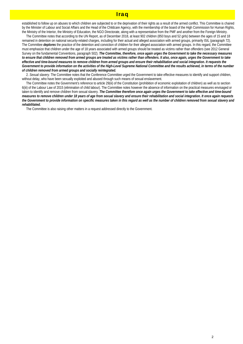## Iraq

established to follow up on abuses to which children are subjected to or the deprivation of their rights as a result of the armed conflict. This Committee is chaired by the Minister of Labour and Social Affairs and the Head of the Childcare Agency, with the membership of the board of the High Commission for Human Rights, the Ministry of the Interior, the Ministry of Education, the NGO Directorate, along with a representative from the PMF and another from the Foreign Ministry.

 The Committee notes that according to the UN Report, as of December 2018, at least 902 children (850 boys and 52 girls) between the ages of 15 and 18 remained in detention on national security-related charges, including for their actual and alleged association with armed groups, primarily ISIL (paragraph 72). The Committee *deplores* the practice of the detention and conviction of children for their alleged association with armed groups. In this regard, the Committee must emphasize that children under the age of 18 years associated with armed groups should be treated as victims rather than offenders (see 2012 General Survey on the fundamental Conventions, paragraph 502). *The Committee, therefore, once again urges the Government to take the necessary measures to ensure that children removed from armed groups are treated as victims rather than offenders. It also, once again, urges the Government to take effective and time-bound measures to remove children from armed groups and ensure their rehabilitation and social integration. It requests the Government to provide information on the activities of the High-Level Supreme National Committee and the results achieved, in terms of the number of children removed from armed groups and socially reintegrated.*

 2. *Sexual slavery.* The Committee notes that the Conference Committee urged the Government to take effective measures to identify and support children, without delay, who have been sexually exploited and abused through such means of sexual enslavement.

 The Committee notes the Government's reference to article 29(iii) of the Constitution (prohibition of economic exploitation of children) as well as to section 6(iii) of the Labour Law of 2015 (elimination of child labour). The Committee notes however the absence of information on the practical measures envisaged or taken to identify and remove children from sexual slavery. *The Committee therefore once again urges the Government to take effective and time-bound measures to remove children under 18 years of age from sexual slavery and ensure their rehabilitation and social integration. It once again requests the Government to provide information on specific measures taken in this regard as well as the number of children removed from sexual slavery and rehabilitated.*

The Committee is also raising other matters in a request addressed directly to the Government.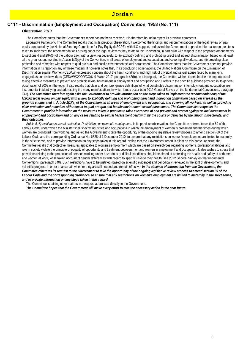## **C111 - Discrimination (Employment and Occupation) Convention, 1958 (No. 111)**

### *Observation 2019*

The Committee notes that the Government's report has not been received. It is therefore bound to repeat its previous comments.

Legislative framework. The Committee recalls that, in its previous observation, it welcomed the findings and recommendations of the legal review on pay equity conducted by the National Steering Committee for Pay Equity (NSCPE), with ILO support, and asked the Government to provide information on the steps taken to implement the recommendations arising out of the legal review as they relate to the Convention, in particular with respect to the proposed amendments to sections 4 and 29A(6) of the Labour Law, with a view, respectively, to: (i) explicitly defining and prohibiting direct and indirect discrimination based on at least all the grounds enumerated in *Article 1(1)(a)* of the Convention, in all areas of employment and occupation, and covering all workers; and (ii) providing clear protection and remedies with respect to quid pro quo and hostile environment sexual harassment. The Committee notes that the Government does not provide information in its report on any of these matters. It however notes that, in its concluding observations, the United Nations Committee on the Elimination of Discrimination against Women (CEDAW) expressed concern about the harsh conditions and high risk of physical and sexual abuse faced by many girls engaged as domestic workers (CEDAW/C/JOR/CO/6, 9 March 2017, paragraph 43(h)). In this regard, the Committee wishes to emphasize the importance of taking effective measures to prevent and prohibit sexual harassment in employment and occupation and it refers to the specific guidance provided in its general observation of 2002 on the topic. It also recalls that clear and comprehensive definitions of what constitutes discrimination in employment and occupation are instrumental in identifying and addressing the many manifestations in which it may occur (see 2012 General Survey on the fundamental Conventions, paragraph 743). *The Committee therefore again asks the Government to provide information on the steps taken to implement the recommendations of the NSCPE legal review on pay equity with a view to explicitly defining and prohibiting direct and indirect discrimination based on at least all the grounds enumerated in Article 1(1)(a) of the Convention, in all areas of employment and occupation, and covering all workers, as well as providing clear protection and remedies with respect to quid pro quo and hostile environment sexual harassment. The Committee also requests the Government to provide information on the measures taken in practice to raise awareness of and prevent and protect against sexual harassment in employment and occupation and on any cases relating to sexual harassment dealt with by the courts or detected by the labour inspectorate, and their outcomes.*

 *Article 5. Special measures of protection. Restrictions on women's employment.* In its previous observation, the Committee referred to section 69 of the Labour Code, under which the Minister shall specify industries and occupations in which the employment of women is prohibited and the times during which women are prohibited from working, and asked the Government to take the opportunity of the ongoing legislative review process to amend section 69 of the Labour Code and the corresponding Ordinance No. 6828 of 1 December 2010, to ensure that any restrictions on women's employment are limited to maternity in the strict sense, and to provide information on any steps taken in this regard. Noting that the Government report is silent on this particular issue, the Committee recalls that protective measures applicable to women's employment which are based on stereotypes regarding women's professional abilities and role in society violate the principle of equality of opportunity and treatment between men and women in employment and occupation. It also wishes to stress that provisions relating to the protection of persons working under hazardous or difficult conditions should be aimed at protecting the health and safety of both men and women at work, while taking account of gender differences with regard to specific risks to their health (see 2012 General Survey on the fundamental Conventions, paragraph 840). Such restrictions have to be justified (based on scientific evidence) and periodically reviewed in the light of developments and scientific progress in order to ascertain whether they are still needed and remain effective. *In the absence of information from the Government, the Committee reiterates its request to the Government to take the opportunity of the ongoing legislative review process to amend section 69 of the Labour Code and the corresponding Ordinance, to ensure that any restrictions on women's employment are limited to maternity in the strict sense, and to provide information on any steps taken in this regard.*

The Committee is raising other matters in a request addressed directly to the Government.

*The Committee hopes that the Government will make every effort to take the necessary action in the near future.*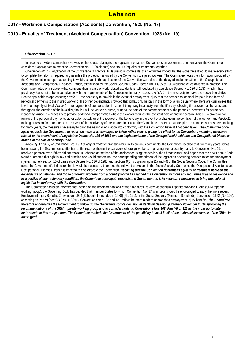## **C017 - Workmen's Compensation (Accidents) Convention, 1925 (No. 17)**

## **C019 - Equality of Treatment (Accident Compensation) Convention, 1925 (No. 19)**

#### *Observation 2019*

 In order to provide a comprehensive view of the issues relating to the application of ratified Conventions on workmen's compensation, the Committee considers it appropriate to examine Convention No. 17 (accidents) and No. 19 (equality of treatment) together.

 *Convention No. 17. Application of the Convention in practice.* In its previous comments, the Committee hoped that the Government would make every effort to complete the reforms required to guarantee the protection afforded by the Convention to injured workers. The Committee notes the information provided by the Government in its report according to which, issues in the application of the Convention were due to the delayed implementation of the Occupational Accidents and Occupational Diseases Branch, established by the Social Security Code (Decree No. 13955 of 1963) but not yet established in practice. The Committee notes with *concern* that compensation in case of work-related accidents is still regulated by Legislative Decree No. 136 of 1983, which it has previously found not to be in compliance with the requirements of the Convention in many respects: *Article 2 –* the necessity to make the above Legislative Decree applicable to apprentices; *Article 5* – the necessity to provide in the event of employment injury that the compensation shall be paid in the form of periodical payments to the injured worker or his or her dependants, provided that it may only be paid in the form of a lump sum where there are guarantees that it will be properly utilized; *Article 6 –* the payments of compensation in case of temporary incapacity from the fifth day following the accident at the latest and throughout the duration of the invalidity, that is until the worker is cured, or up to the date of the commencement of the periodical payments for permanent incapacity; *Article 7* – necessity to provide additional compensation where the worker requires the constant help of another person; *Article 8 –* provision for review of the periodical payments either automatically or at the request of the beneficiary in the event of a change in the condition of the worker; and *Article 11 –* making provision for guarantees in the event of the insolvency of the insurer, inter alia. The Committee observes that, despite the comments it has been making for many years, the measures necessary to bring the national legislation into conformity with the Convention have still not been taken. *The Committee once again requests the Government to report on measures envisaged or taken with a view to giving full effect to the Convention, including measures related to the amendment of Legislative Decree No. 136 of 1983 and the implementation of the Occupational Accidents and Occupational Diseases branch of the Social Security Code.*

 *Article 1(1) and (2) of Convention No. 19. Equality of treatment for survivors.* In its previous comments, the Committee recalled that, for many years, it has been drawing the Government's attention to the issue of the right of survivors of foreign workers, originating from a country party to Convention No. 19, to receive a pension even if they did not reside in Lebanon at the time of the accident causing the death of their breadwinner, and hoped that the new Labour Code would guarantee this right in law and practice and would not forestall the corresponding amendment of the legislation governing compensation for employment injuries, namely section 10 of Legislative Decree No. 136 of 1983 and sections 9(3), subparagraphs (2) and (4) of the Social Security Code. The Committee notes the Government's indication that it would be necessary to amend the relevant provisions in the Social Security Code once the Occupational Accidents and Occupational Diseases Branch is enacted to give effect to the Convention. *Recalling that the Convention guarantees equality of treatment between the dependants of nationals and those of foreign workers from a country which has ratified the Convention without any requirement as to residence and irrespective of any reciprocity condition, the Committee once again requests the Government to take necessary measures to bring the national legislation in conformity with the Convention.*

 The Committee has been informed that, based on the recommendations of the Standards Review Mechanism Tripartite Working Group (SRM tripartite working group), the Governing Body has decided that member States for which Convention No. 17 is in force should be encouraged to ratify the more recent Employment Injury Benefits Convention, 1964 [Schedule I amended in 1980] (No. 121), or the Social Security (Minimum Standards) Convention, 1952 (No. 102), accepting its Part VI (see GB.328/LILS/2/1). Conventions Nos 102 and 121 reflect the more modern approach to employment injury benefits. *The Committee therefore encourages the Government to follow up the Governing Body's decision at its 328th Session (October–November 2016) approving the recommendations of the SRM tripartite working group and to consider ratifying Conventions Nos 102 (Part VI) or 121 as the most up-to-date instruments in this subject area. The Committee reminds the Government of the possibility to avail itself of the technical assistance of the Office in this regard.*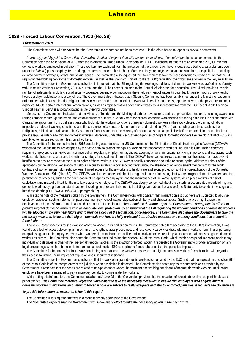### **C029 - Forced Labour Convention, 1930 (No. 29)**

#### *Observation 2019*

The Committee notes with *concern* that the Government's report has not been received. It is therefore bound to repeat its previous comments.

 *Articles 1(1) and 2(1) of the Convention. Vulnerable situation of migrant domestic workers to conditions of forced labour.* In its earlier comments, the Committee noted the observation of 2013 from the International Trade Union Confederation (ITUC), indicating that there are an estimated 200,000 migrant domestic workers employed in Lebanon. These workers are excluded from the protection of the Labour Law, have a legal status tied to a particular employer under the *kafala* (sponsorship) system, and legal redress is inaccessible to them. Moreover, they are subjected to various situations of exploitation, including delayed payment of wages, verbal, and sexual abuse. The Committee also requested the Government to take the necessary measures to ensure that the Bill regulating the working conditions of domestic workers, as well as the Standard Unified Contract (SUC) regulating their work are adopted in the very near future.

 The Committee notes the Government's indication in its report that, the Bill regulating the working conditions of domestic workers was drafted in conformity with Domestic Workers Convention, 2011 (No. 189), and the Bill has been submitted to the Council of Ministers for discussion. The Bill will provide a certain number of safeguards, including social security coverage; decent accommodation; the timely payment of wages through bank transfer; hours of work (eight hours per day); sick leave; and a day of rest. The Government also indicates that a Steering Committee has been established under the Ministry of Labour in order to deal with issues related to migrant domestic workers and is composed of relevant Ministerial Departments, representatives of the private recruitment agencies, NGOs, certain international organizations, as well as representatives of certain embassies. A representative from the ILO Decent Work Technical Support Team in Beirut is also participating in the Steering Committee.

 Moreover, the Government indicates that the Ministry of Interior and the Ministry of Labour have taken a series of preventive measures, including awareness raising campaigns through the media; the establishment of a shelter "Beit al Aman" for migrant domestic workers who are facing difficulties in collaboration with Caritas; the appointment of social assistants who look into the working conditions of migrant domestic workers in their workplaces; the training of labour inspectors on decent working conditions; and the conclusion of a series of Memoranda of Understanding (MOUs) with sending countries, such as the Philippines, Ethiopia and Sri Lanka. The Government further states that the Ministry of Labour has set up a specialized office for complaints and a hotline to provide legal assistance to migrant domestic workers. Moreover, under the Recruitment Agencies of Migrant Domestic Workers Decree No. 1/168 of 2015, it is prohibited to impose recruitment fees on all workers.

 The Committee further notes that in its 2015 concluding observations, the UN Committee on the Elimination of Discrimination against Women (CEDAW) welcomed the various measures adopted by the State party to protect the rights of women migrant domestic workers, including issuing unified contracts, requiring employers to sign up to an insurance policy, regulating employment agencies, adopting a law criminalizing trafficking in persons and integrating such workers into the social charter and the national strategy for social development. The CEDAW, however, expressed concern that the measures have proved insufficient to ensure respect for the human rights of those workers. The CEDAW is equally concerned about the rejection by the Ministry of Labour of the application by the National Federation of Labour Unions to establish a domestic workers' union, the absence of an enforcement mechanism for the work contracts of women migrant domestic workers, limited access for those workers to health care and social protection and the non-ratification of the Domestic Workers Convention, 2011 (No. 189). The CEDAW was further concerned about the high incidence of abuse against women migrant domestic workers and the persistence of practices, such as the confiscation of passports by employers and the maintenance of the *kafala* system, which place workers at risk of exploitation and make it difficult for them to leave abusive employers. The CEDAW was deeply concerned about the disturbing documented reports of migrant domestic workers dying from unnatural causes, including suicides and falls from tall buildings, and about the failure of the State party to conduct investigations into those deaths (CEDAW/C/LBN/CO/4-5, paragraph 37).

 While taking note of the measures taken by the Government, the Committee notes with *concern* that migrant domestic workers are subjected to abusive employer practices, such as retention of passports, non-payment of wages, deprivation of liberty and physical abuse. Such practices might cause their employment to be transformed into situations that amount to forced labour. *The Committee therefore urges the Government to strengthen its efforts to provide migrant domestic workers with an adequate legal protection, by ensuring that the Bill regulating the working conditions of domestic workers* will be adopted in the very near future and to provide a copy of the legislation, once adopted. The Committee also urges the Government to take the *necessary measures to ensure that migrant domestic workers are fully protected from abusive practices and working conditions that amount to forced labour.*

 *Article 25. Penal sanctions for the exaction of forced labour.* In its earlier comments, the Committee noted that according to the ITUC's information, it was found that a lack of accessible complaint mechanisms, lengthy judicial procedures, and restrictive visa policies dissuade many workers from filing or pursuing complaints against their employers. Even when workers file complaints, the police and judicial authorities regularly fail to treat certain abuses against domestic workers as crimes. The Committee also noted the Government's indication that section 569 of the Penal Code, which establishes penal sanctions against any individual who deprives another of their personal freedom, applies to the exaction of forced labour. It requested the Government to provide information on any legal proceedings which had been instituted on the basis of section 569 as applied to forced labour and on the penalties imposed.

 The Committee further notes that in its 2015 concluding observations, the CEDAW observed that migrant domestic workers face obstacles with regard to their access to justice, including fear of expulsion and insecurity of residence.

 The Committee notes the Government's indication that the work of migrant domestic workers is regulated by the SUC and that the application of section 569 of the Penal Code is of the competency of the judiciary when a violation is detected. The Committee also notes copies of court decisions provided by the Government. It observes that the cases are related to non-payment of wages, harassment and working conditions of migrant domestic workers. In all cases employers have been sentenced to pay a monetary penalty to compensate the workers.

 While noting this information, the Committee recalls that *Article 25* of the Convention provides that the exaction of forced labour shall be punishable as a penal offence. *The Committee therefore urges the Government to take the necessary measures to ensure that employers who engage migrant*  domestic workers in situations amounting to forced labour are subject to really adequate and strictly enforced penalties. It requests the Government

#### *to provide information on measures taken in this regard.*

The Committee is raising other matters in a request directly addressed to the Government.

*The Committee expects that the Government will make every effort to take the necessary action in the near future.*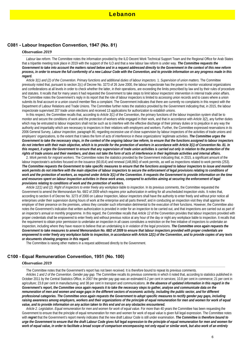### **C081 - Labour Inspection Convention, 1947 (No. 81)**

#### *Observation 2019*

 *Labour law reform.* The Committee notes the information provided by the ILO Decent Work Technical Support Team and the Regional Office for Arab States that a tripartite meeting took place in 2019 with the support of the ILO and that a new labour law reform is under way. *The Committee requests the Government to take into account the matters raised below and in a request addressed directly to the Government in the context of this new reform process, in order to ensure the full conformity of a new Labour Code with the Convention, and to provide information on any progress made in this regard.*

 *Article 3(1) and (2) of the Convention. Primary functions and additional duties of labour inspectors.* 1. *Supervision of union matters.* The Committee previously noted that, pursuant to section 2(c) of Decree No. 3273 of 26 June 2000, the labour inspectorate has the power to monitor vocational organizations and confederations at all levels in order to check whether the latter, in their operations, are exceeding the limits prescribed by law and by their rules of procedure and statutes. It recalls that for many years it had requested the Government to take steps to limit labour inspectors' intervention in internal trade union affairs. The Committee notes the Government's reply in its report that the role of labour inspectors is limited to accessing union records and to cases where a union submits its final account or a union council member files a complaint. The Government indicates that there are currently no complaints in this respect with the Department of Labour Relations and Trade Unions. The Committee further notes the statistics provided by the Government indicating that, in 2015, the labour inspectorate supervised 207 trade union elections and received 13 applications for authorization to establish unions.

 In this respect, the Committee recalls that, according to *Article 3(1)* of the Convention, the primary functions of the labour inspection system shall be to monitor and secure the conditions of work and the protection of workers while engaged in their work, and that in accordance with *Article 3(2*), any further duties which may be entrusted to labour inspectors shall not be such as to interfere with the effective discharge of their primary duties or to prejudice in any way the authority and impartiality which are necessary to inspectors in their relations with employers and workers. Further, the Committee expressed reservations in its 2006 General Survey, *Labour inspection,* paragraph 80, regarding excessive use of close supervision by labour inspectors of the activities of trade unions and employers' organizations, to the extent that it takes the form of acts of interference in these organizations' legitimate activities. The Committee urges the *Government to take the necessary steps, in the context of the ongoing labour law reform, to ensure that the functions assigned to labour inspectors do not interfere with their main objective, which is to provide for the protection of workers in accordance with Article 3(1) of Convention No. 81. In this respect, it urges the Government to ensure that any supervision of trade union activities is carried out only in relation to the protection of the rights of trade unions and their members, and does not take the form of acts of interference in their legitimate activities and internal affairs.*

2. *Work permits for migrant workers.* The Committee notes the statistics provided by the Government indicating that, in 2015, a significant amount of the labour inspectorate's activities focused on the issuance (60,814) and renewal (148,860) of work permits, as well as inspections related to work permits (253). *The Committee requests the Government to take specific measures to ensure that the functions assigned to labour inspectors to issue and monitor*  work permits do not interfere with the main objective of labour inspectors to secure the enforcement of legal provisions relating to conditions of *work and the protection of workers, as required under Article 3(1) of the Convention. It requests the Government to provide information on the time and resources spent on labour inspection activities in these work areas, compared to activities aiming at securing the enforcement of legal provisions relating to conditions of work and the protection of workers.*

 *Article 12(1) and (2). Right of inspectors to enter freely any workplace liable to inspection.* In its previous comments, the Committee requested the Government to amend the Memorandum No. 68/2 of 2009 which requires prior authorization in writing for all unscheduled inspection visits. It notes that, according to section 6 of Decree No. 3273 of 2000 on Labour Inspection, labour inspectors shall have the authority to enter freely and without prior notice all enterprises under their supervision during hours of work at the enterprise and all parts thereof; and in conducting an inspection visit they shall apprise the employer of their presence on the premises, unless they consider such information detrimental to the execution of their functions. However, the Committee also notes the Government's indication that written authorization is provided in order for an inspection to be carried out, and that inspections are carried out as part of an inspector's annual or monthly programme. In this regard, the Committee recalls that *Article 12* of the Convention provides that labour inspectors provided with proper credentials shall be empowered to enter freely and without previous notice at any hour of the day or night any workplace liable to inspection. It recalls that the requirement to obtain prior permission to undertake an inspection in all cases constitutes a restriction on the free initiative of inspectors to undertake an inspection, including where they have reason to believe that an undertaking is in violation of the legal provisions. *The Committee once again requests the Government to take measures to amend Memorandum No. 68/2 of 2009 to ensure that labour inspectors provided with proper credentials are empowered to enter freely any workplace liable to inspection, in accordance with Article 12(1) of the Convention, and to provide copies of any texts or documents showing progress in this regard.*

The Committee is raising other matters in a request addressed directly to the Government.

### **C100 - Equal Remuneration Convention, 1951 (No. 100)**

#### *Observation 2019*

The Committee notes that the Government's report has not been received. It is therefore bound to repeat its previous comments.

 *Articles 1 and 2 of the Convention. Gender pay gap.* The Committee recalls its previous comments in which it noted that, according to statistics published in October 2011 by the Central Statistics Office, in 2007 the gender pay gap was an estimated 6.2 per cent in services; 10.8 per cent in commerce; 21 per cent in agriculture; 23.8 per cent in manufacturing; and 38 per cent in transport and communications. *In the absence of updated information in this regard in the Government's report, the Committee once again requests it to take the necessary steps to gather, analyse and communicate data on the remuneration of men and women and wage gaps in the different sectors of economic activity, including the public sector, and for different professional categories. The Committee once again requests the Government to adopt specific measures to rectify gender pay gaps, including raising awareness among employers, workers and their organizations of the principle of equal remuneration for men and women for work of equal value, and to provide information on any action taken to this end and on any obstacles encountered.*

 *Article 2. Legislation. Equal remuneration for men and women for work of equal value.* For more than 40 years the Committee has been requesting the Government to ensure that the principle of equal remuneration for men and women for work of equal value is given full legal expression. The Committee notes with *regret* that the Government's report merely indicates that the new draft Labour Code is still under examination. *The Committee is therefore bound to urge the Government to ensure that the draft Labour Code gives full legal expression to the principle of equal remuneration for men and women for work of equal value, in order to facilitate a broad scope of comparison encompassing not only equal or similar work, but also work of an entirely*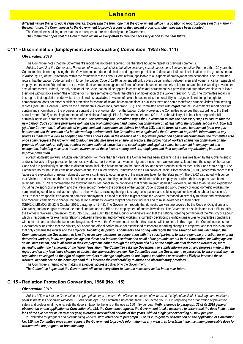different nature that is of equal value overall. Expressing the firm hope that the Government will be in a position to report progress on this matter in *the near future, the Committee asks the Government to provide a copy of the relevant provisions when they have been adopted.* The Committee is raising other matters in a request addressed directly to the Government.

*The Committee hopes that the Government will make every effort to take the necessary action in the near future*

## **C111 - Discrimination (Employment and Occupation) Convention, 1958 (No. 111)**

### *Observation 2019*

 The Committee notes that the Government's report has not been received. It is therefore bound to repeat its previous comments. *Articles 1 and 2 of the Convention. Protection of workers against discrimination, including sexual harassment. Law and practice.* For more than 20 years the Committee has been requesting that the Government introduce a definition and a general prohibition of direct and indirect discrimination on the grounds set out in *Article 1(1)(a)* of the Convention, within the framework of the Labour Code reform, applicable to all aspects of employment and occupation. The Committee recalls that the Labour Code currently in force (the Labour Code of 1946, as amended) only covers discrimination between men and women in certain aspects of employment (section 26) and does not provide effective protection against all forms of sexual harassment, namely quid pro quo and hostile working environment sexual harassment. Indeed, the only section of the Code that could be applied in cases of sexual harassment is a provision that authorizes employees to leave their jobs without notice when "the employer or his representative commits the offence of molestation of the worker" (section 75(3)). The Committee recalls in this regard that legislation under which the sole redress available to victims of sexual harassment is the possibility to resign, while retaining the right to compensation, does not afford sufficient protection for victims of sexual harassment since it punishes them and could therefore dissuade victims from seeking redress (see 2012 General Survey on the fundamental Conventions, paragraph 792). The Committee notes with *regret* that the Government's report does not contain any information on the progress or content of the ongoing reform of the Labour Code. However, the Committee observes that, according to the third annual report (2015) on the implementation of the National Strategic Plan for Women in Lebanon (2011–21), the Ministry of Labour has prepared a bill criminalizing sexual harassment in the workplace. *Consequently, the Committee urges the Government to take the necessary steps to ensure that the new Labour Code contains provisions defining and prohibiting direct and indirect discrimination on at least all of the grounds set out in Article 1(1) (a) of the Convention, in all aspects of employment and occupation, as defined in Article 1(3), and all forms of sexual harassment (quid pro quo harassment and the creation of a hostile working environment). The Committee once again asks the Government to provide information on any progress made with a view to adopting the draft Labour Code. In the absence of full legislative protection against discrimination, the Committee also once again requests the Government to adopt specific measures to ensure, in practice, the protection of workers against discrimination on the grounds of race, colour, religion, political opinion, national extraction and social origin, and against sexual harassment in employment and occupation, including measures to raise awareness of these issues among workers, employers and their respective organizations, in order to improve prevention.*

 *Foreign domestic workers. Multiple discrimination.* For more than ten years, the Committee has been examining the measures taken by the Government to address the lack of legal protection for domestic workers, most of whom are women migrants, since these workers are excluded from the scope of the Labour Code and are particularly vulnerable to discrimination, including harassment, on the basis of sex and other grounds such as race, colour and ethnic origin. The Committee notes that, in its concluding observations, the United Nations Committee on the Elimination of Racial Discrimination (CERD) noted with concern that "abuse and exploitation of migrant domestic workers continues to occur in spite of the measures taken by the State party". The CERD also noted with concern that "victims are often not able to seek assistance when they are forcibly confined to the residence of their employers or when their passports have been retained". The CERD recommended the following measures: "abolish the conditions that render migrant domestic workers vulnerable to abuse and exploitation, including the sponsorship system and the live-in setting"; "extend the coverage of the Labour Code to domestic work, thereby granting domestic workers the same working conditions and labour rights as other workers, including the right to change occupation, and subjecting domestic work to labour inspections"; "ensure that any specific legislation on domestic employment is aimed at tackling migrant domestic workers' increased vulnerability to abuse and exploitation"; and "conduct campaigns to change the population's attitudes towards migrant domestic workers and to raise awareness of their rights" (CERD/C/LBN/CO/18–22, 5 October 2016, paragraphs 41–42). The Government reports that domestic workers are covered by the Code of Obligations and Contracts, and once again refers to the model contract and the Bill on the employment of domestic workers. The Government also indicates that a Bill to ratify the Domestic Workers Convention, 2011 (No. 189), was submitted to the Council of Ministers and that the national steering committee of the Ministry of Labour, which is responsible for examining relations between employers and domestic workers, is currently developing significant measures to quarantee compliance with contracts and abolish the sponsorship system. However, the Government states that this process will take time. In this regard, the Committee notes the Government's indication that the Ministry of Labour and official bodies have not established restrictions regarding changes of employer and that this is an issue that only concerns the worker and the employer. *Recalling its previous comments and noting with regret that the situation remains unchanged, the Committee urges the Government to take the necessary measures, in cooperation with the social partners, to ensure genuine protection for migrant domestics workers, in law and practice, against direct and indirect discrimination on all of the grounds set out in the Convention, including against sexual harassment, and in all areas of their employment, either through the adoption of a bill on the employment of domestic workers or, more generally, within the framework of the labour legislation. The Committee asks the Government to supply information on any progress made in this regard and on any legislative changes to abolish the sponsorship system. The Committee asks the Government, in particular, to ensure that any new regulations envisaged on the right of migrant workers to change employers do not impose conditions or restrictions likely to increase these workers' dependence on their employer and thus increase their vulnerability to abuse and discriminatory practices.*

The Committee is raising other matters in a request addressed directly to the Government.

*The Committee hopes that the Government will make every effort to take the necessary action in the near future.*

## **C115 - Radiation Protection Convention, 1960 (No. 115)**

#### *Observation 2019*

 *Articles 3(1) and 6 of the Convention. All appropriate steps to ensure the effective protection of workers, in the light of available knowledge and maximum permissible doses of ionizing radiation.* 1. *Lens of the eye.* The Committee notes that table 2 of Decree No. 11802, regarding the organization of prevention, safety and professional hygiene, sets the dose limitation to the lens of the eye as 150 mSv per year. *With reference to paragraph 32 of its 2015 general observation on the application of Convention No. 115, the Committee requests the Government to take measures to ensure that the dose limits to the lens of the eye are set as 20 mSv per year, averaged over defined periods of five years, with no single year exceeding 50 mSv per year.*

2. *Protection for pregnant and breastfeeding workers. With reference to paragraph 33 of its 2015 general observation on the application of Convention No. 115, the Committee once again requests the Government to provide information on any measures to establish the maximum permissible dose for workers who are pregnant or breastfeeding.*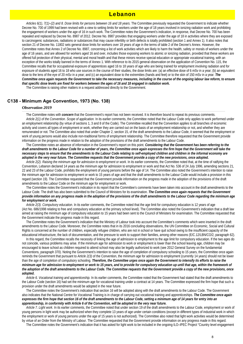*Articles 6(1), 7(1)–(2) and 8. Dose limits for persons between 16 and 18 years.* The Committee previously requested the Government to indicate whether Decree No. 700 of 1999 had been revised with a view to setting limits for workers under the age of 18 years involved in ionizing radiation work and prohibiting the engagement of workers under the age of 16 in such work. The Committee notes the Government's indication, in response, that Decree No. 700 has been repealed and replaced by Decree No. 8987 of 2012. Decree No. 8987 provides that engaging workers under the age of 18 in activities where they are exposed to carcinogenic substances, radiations or substances that may cause infertility or birth defects is totally prohibited (section 1 and Annex 1). It also notes that section 21 of Decree No. 11802 sets general dose limits for workers over 18 years of age in the terms of table 2 of the Decree's Annex. However, the Committee notes that Annex 2 of Decree No. 8987, concerning a list of work activities which are likely to harm the health, safety or morals of workers under the age of 16 years, and are allowed for workers aged 16 and over, includes those exposing workers to atomic or ionizing radiation, provided that these workers are offered full protection of their physical, mental and moral health and that these minors receive special education or appropriate vocational training, with an exception of the works totally banned in the terms of Annex 1. With reference to its 2015 general observation on the application of Convention No. 115, the Committee recalls that for occupational exposure of apprentices aged 16 to 18 years of age who are being trained for employment involving radiation and for exposure of students aged 16 to 18 who use sources in the course of their studies, the dose limits are: (a) an effective dose of 6 mSv in a year; (b) an equivalent dose to the lens of the eye of 20 mSy in a year; and (c) an equivalent dose to the extremities (hands and feet) or to the skin of 150 mSy in a year. *The Committee once again requests the Government to take the necessary measures, including in the course of the ongoing labour law reform, to ensure that specific dose levels are fixed for workers between the ages of 16 and 18 engaged in radiation work.*

The Committee is raising other matters in a request addressed directly to the Government.

### **C138 - Minimum Age Convention, 1973 (No. 138)**

#### *Observation 2019*

 The Committee notes with *concern* that the Government's report has not been received. It is therefore bound to repeat its previous comments. *Article 2(1) of the Convention. Scope of application.* In its earlier comments, the Committee noted that the Labour Code only applies to work performed under an employment relationship (by virtue of sections 1, 3 and 8 of the Code). The Committee recalled that the Convention applies to all branches of economic activity and covers all types of employment or work, whether they are carried out on the basis of an employment relationship or not, and whether they are remunerated or not. The Committee also noted that under Chapter 2, section 15, of the draft amendments to the Labour Code, it seemed that the employment or work of young persons would also include non-traditional forms of employment relationship. The Committee therefore requested that the Government provide information on the progress made in relation to the adoption of the provisions of the draft amendments to the Labour Code.

 The Committee notes an absence of information in the Government's report on this point. *Considering that the Government has been referring to the draft amendments to the Labour Code for a number of years, the Committee once again expresses the firm hope that the Government will take the necessary steps to ensure that the amendments to the Labour Code relating to self-employed children and children in the informal economy are adopted in the very near future. The Committee requests that the Government provide a copy of the new provisions, once adopted.*

 *Article 2(2). Raising the minimum age for admission to employment or work.* In its earlier comments, the Committee noted that, at the time of ratifying the Convention, Lebanon declared 14 years as the minimum age for admission to employment or work and that Act No. 536 of 24 July 1996, amending sections 21, 22 and 23 of the Labour Code, prohibits the employment of young persons before the age of 14. The Committee also noted the Government's intention to raise the minimum age for admission to employment or work to 15 years of age and that the draft amendments to the Labour Code would include a provision in this regard (section 19). The Committee requested that the Government provide information on the progress made in the adoption of the provisions of the draft amendments to the Labour Code on the minimum age for employment or work.

 The Committee notes the Government's indication in its report that the Committee's comments have been taken into account in the draft amendments to the Labour Code. The draft has also been submitted to the Council of Ministers for its examination. *The Committee once again requests that the Government provide information on any progress made in the adoption of the provisions of the draft amendments to the Labour Code regarding the minimum age for employment or work.*

 *Article 2(3). Compulsory education.* In its earlier comments, the Committee noted that the age limit for compulsory education is 12 years of age (Act No. 686/1998 relating to free and compulsory education at the primary school level). The Committee also noted the Government's indication that a draft law aimed at raising the minimum age of compulsory education to 15 years had been sent to the Council of Ministers for examination. The Committee requested that the Government indicate the progress made in this regard.

 The Committee notes the Government's indication that the Ministry of Labour took into account the Committee's comments which were inserted in the draft amendments to the Labour Code. Moreover, the Committee notes that in its 2016 concluding observations, the UN Committee on Economic, Social and Cultural Rights is concerned at the number of children, especially refugee children, who are not in school or have quit school owing to the insufficient capacity of the educational infrastructure, the lack of documentation, and the pressure to work to support their families, among other reasons (E/C.12/LBN/CO/2, paragraph 62).

 In this regard, the Committee recalls the necessity of linking the age of admission to employment to the age limit for compulsory education. If the two ages do not coincide, various problems may arise. If the minimum age for admission to work or employment is lower than the school leaving age, children may be encouraged to leave school as children required to attend school may also be legally authorized to work (see 2012 General Survey on the fundamental Conventions, paragraph 370). Noting the Government's intention to raise the age of completion of compulsory schooling to 15 years, the Committee once again reminds the Government that pursuant to Article 2(3) of the Convention, the minimum age for admission to employment (currently 14 years) should not be lower than the age of completion of compulsory schooling. *Therefore, the Committee urges once again the Government to intensify its efforts to raise the minimum age for admission to employment or work to 15 years, and to provide for compulsory education up until that age, within the framework of the adoption of the draft amendments to the Labour Code. The Committee requests that the Government provide a copy of the new provisions, once adopted.*

 *Article 6. Vocational training and apprenticeship.* In its earlier comments, the Committee noted that the Government had stated that the draft amendments to the Labour Code (section 16) had set the minimum age for vocational training under a contract at 14 years. The Committee expressed the firm hope that such a provision under the draft amendments would be adopted in the near future.

 The Committee notes the Government's indication that section 16 will be adopted along with the draft amendments to the Labour Code. The Government also indicates that the National Centre for Vocational Training is in charge of carrying out vocational training and apprenticeships. *The Committee once again expresses the firm hope that section 16 of the draft amendments to the Labour Code, setting a minimum age of 14 years for entry into an apprenticeship, in conformity with Article 6 of the Convention, will be adopted in the very near future.*

 *Article 7. Light work.* In its earlier comments, the Committee noted that under section 19 of the draft amendments to the Labour Code, employment or work of young persons in light work may be authorized when they complete 13 years of age under certain conditions (except in different types of industrial work in which the employment or work of young persons under the age of 15 years is not authorized). The Committee also noted that light work activities would be determined by virtue of an Order from the Ministry of Labour. The Committee requested that the Government provide information on any progress made in this regard.

The Committee notes the Government's indication that it has asked for light work to be included in the ongoing ILO–IPEC Project "Country level engagement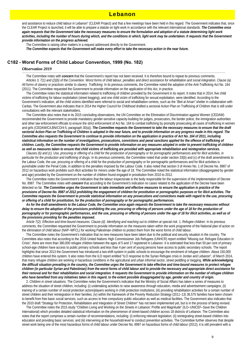and assistance to reduce child labour in Lebanon" (CLEAR Project) and that a few meetings have been held in this regard. The Government indicates that, once the CLEAR Project is launched, it will be able to prepare a statute on light work in accordance with the relevant international standards. *The Committee once again requests that the Government take the necessary measures to ensure the formulation and adoption of a statute determining light work*  activities, including the number of hours during which, and the conditions in which, light work may be undertaken. It requests that the Government *provide information on the progress achieved.*

The Committee is raising other matters in a request addressed directly to the Government.

*The Committee expects that the Government will make every effort to take the necessary action in the near future.*

## **C182 - Worst Forms of Child Labour Convention, 1999 (No. 182)**

### *Observation 2019*

 The Committee notes with *concern* that the Government's report has not been received. It is therefore bound to repeat its previous comments. *Articles 3, 7(1) and (2)(b) of the Convention. Worst forms of child labour, penalties and direct assistance for rehabilitation and social integration. Clause (a). All forms of slavery or practices similar to slavery. Trafficking.* In its previous comments, the Committee noted the adoption of the Anti-Trafficking Act No. 164 (2011). The Committee requested the Government to provide information on the application of this Act, in practice.

 The Committee notes the statistical information related to trafficking of children provided by the Government in its report. It notes that in 2014, five child victims of trafficking for labour exploitation (street begging), and one child victim of trafficking for sexual exploitation, were identified. According to the Government's indication, all the child victims identified were referred to social and rehabilitation centres, such as the *"Beit al Aman"* shelter in collaboration with Caritas. The Government also indicates that in 2014 the Higher Council for Childhood drafted a sectorial Action Plan on Trafficking of Children that is still under consultations with the relevant stakeholders.

 The Committee also notes that in its 2015 concluding observations, the UN Committee on the Elimination of Discrimination against Women (CEDAW) recommended the Government to provide mandatory gender-sensitive capacity-building for judges, prosecutors, the border police, the immigration authorities and other law enforcement officials to ensure the strict enforcement of Act No. 164 to combat trafficking by promptly prosecuting all cases of trafficking in women and girls (CEDAW/C/LBN/CO/4-5, paragraph 30(a)). *The Committee requests the Government to take the necessary measures to ensure that the draft sectorial Action Plan on Trafficking of Children is adopted in the near future, and to provide information on any progress made in this regard. The Committee also requests the Government to continue to provide information on the application in practice of Act No. 164 of 2011, including*  statistical information on the number of investigations, prosecutions, convictions and penal sanctions applied for the offence of trafficking of *children. Lastly, the Committee requests the Government to provide information on any measures adopted in order to prevent trafficking of children as well as measures taken to ensure that child victims of trafficking are provided with appropriate rehabilitation and reintegration services.*

 *Clauses (b) and (c). Use, procuring or offering of a child for the production of pornography or for pornographic performances and for illicit activities, in particular for the production and trafficking of drugs.* In its previous comments, the Committee noted that under section 33(b) and (c) of the draft amendments to the Labour Code, the use, procuring or offering of a child for the production of pornography or for pornographic performances and for illicit activities is punishable under the Penal Code, in addition to the penalties imposed by the Labour Code. It also noted that section 3 of Annex No. 1 of Decree No. 8987 of 2012 on hazardous work prohibits such illicit activities for minors under the age of 18. The Committee noted the statistical information (disaggregated by gender and age) provided by the Government on the number of children found engaged in prostitution from 2010 to 2012.

 The Committee notes the Government's indication that the labour inspectorate is the body responsible for the supervision of the implementation of Decree No. 8987. The Committee notes with *concern* that according to the Government's indication no cases related to the application of the Decree have been detected so far. *The Committee urges the Government to take immediate and effective measures to ensure the application in practice of the provisions of Decree No. 8987 of 2012 prohibiting the engagement of children for prostitution or pornographic purposes or for illicit activities. The Committee requests the Government to provide statistical information on any prosecutions and convictions made with regard to the use, procuring or offering of a child for prostitution, for the production of pornography or for pornographic performances.*

 *As for the draft amendments to the Labour Code, the Committee once again requests the Government to take the necessary measures without*  delay to ensure the adoption of the provisions prohibiting the use, procuring or offering of persons under the age of 18 for the production of *pornography or for pornographic performances, and the use, procuring or offering of persons under the age of 18 for illicit activities, as well as of the provisions providing for the penalties imposed.*

 *Article 7(2). Effective and time-bound measures. Clause (d). Identifying and reaching out to children at special risk.* 1. *Refugee children.* In its previous comments, the Committee requested the Government to provide information on the measures taken within the work programme of the National plan of action on the elimination of child labour (NAP–WFCL) for working Palestinian children to protect them from the worst forms of child labour.

 The Committee notes the Government's indication that no new measures have been taken due to the political and security situation in the country. The Committee also notes that according to the 2016 United Nations High Commissioner Job Refugees (UNHCR) report entitled "Missing out: Refugee Education in Crisis", there are more than 380,000 refugee children between the ages of 5 and 17 registered in Lebanon. It is estimated that less than 50 per cent of primary school-age children have access to public primary schools and less than 4 per cent of young persons have access to public secondary schools. The report highlights that since 2013 the Government has introduced a two-shift system in public schools to encourage the enrolment of refugee children. About 150,000 children have entered this system. It also notes from the ILO report entitled "ILO response to the Syrian Refugee crisis in Jordan and Lebanon", of March 2014, that many refugee children are working in hazardous conditions in the agricultural and urban informal sector, street peddling or begging. *While acknowledging the difficult situation prevailing in the country, the Committee urges the Government to take effective and time-bound measures to protect refugee children (in particular Syrian and Palestinian) from the worst forms of child labour and to provide the necessary and appropriate direct assistance for their removal and for their rehabilitation and social integration. It requests the Government to provide information on the number of refugee children who have benefited from any initiatives taken in this regard, to the extent possible disaggregated by age, gender and country of origin.*

2. *Children in street situations.* The Committee notes the Government's indication that the Ministry of Social Affairs has taken a series of measures to address the situation of street children, including: (i) undertaking activities to raise awareness through education, media and advertisement campaigns; (ii) training of a certain number of social protection actors/players working in child protection institutions; (iii) providing rehabilitation activities for a certain number of street children and their reintegration in their families; (iv) within the framework of the Poverty Reduction Strategy (2011–13) 36,575 families have been chosen to benefit from free basic social services, such as access to free compulsory public education as well as medical facilities. The Government also indicates that the 2010 draft "Strategy for Protection, Rehabilitation and Integration of Street Children" has not been implemented yet, but is in the process of being revised.

 The Committee notes the 2015 study "Children Living and Working on the Streets in Lebanon: Profile and Magnitude" (ILO–UNICEF–Save the Children International) which provides detailed statistical information on the phenomenon of street-based children across 18 districts of Lebanon. The Committee also notes that the report comprises a certain number of recommendations, including: (i) enforcing relevant legislation; (ii) reintegrating street-based children into education and providing basic services; and (iii) intervening at the household-level to conduct prevention activities. The Committee further observes that despite street work being one of the most hazardous forms of child labour under Decree No. 8987 on hazardous forms of child labour (2012), it is still prevalent with a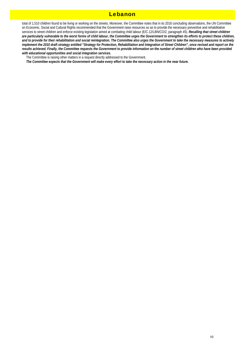total of 1,510 children found to be living or working on the streets. Moreover, the Committee notes that in its 2016 concluding observations, the UN Committee on Economic, Social and Cultural Rights recommended that the Government raise resources so as to provide the necessary preventive and rehabilitative services to street children and enforce existing legislation aimed at combating child labour (E/C.12/LBN/CO/2, paragraph 45). *Recalling that street children are particularly vulnerable to the worst forms of child labour, the Committee urges the Government to strengthen its efforts to protect these children, and to provide for their rehabilitation and social reintegration. The Committee also urges the Government to take the necessary measures to actively*  implement the 2010 draft strategy entitled "Strategy for Protection, Rehabilitation and Integration of Street Children", once revised and report on the *results achieved. Finally, the Committee requests the Government to provide information on the number of street children who have been provided with educational opportunities and social integration services.*

The Committee is raising other matters in a request directly addressed to the Government.

*The Committee expects that the Government will make every effort to take the necessary action in the near future.*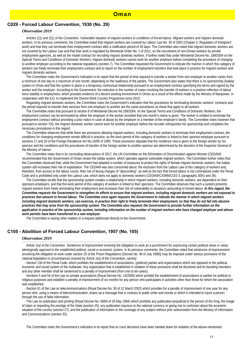## **C029 - Forced Labour Convention, 1930 (No. 29)**

### *Observation 2019*

 *Articles 1(1) and 2(1) of the Convention. Vulnerable situation of migrant workers to conditions of forced labour. Migrant workers and migrant domestic workers.* In its previous comments, the Committee noted that migrant workers are covered by Labour Law No. 35 of 2003 (Chapter 2: Regulation of foreigners' work) and that they can terminate their employment contract after a notification period of 30 days. The Committee also noted that migrant domestic workers are not covered by the Labour Law and that their work is regulated by Ministerial Order No. 1 of 2011, on the recruitment of non-Omani workers by private employment agencies, as well as the model contract for recruiting migrant domestic workers. It further noted that under Ministerial Decree No. 189/2004 on the Special Terms and Conditions of Domestic Workers, migrant domestic workers cannot work for another employer before completing the procedure of changing to another employer according to the national regulations (section 7). The Committee requested the Government to indicate the manner in which this category of workers can freely terminate their employment contract and to report on the number of employment transfers that took place in practice for migrant workers and migrant domestic workers.

 The Committee notes the Government's indication in its report that the period of time required to transfer a worker from one employer to another varies from a minimum of one day to a maximum of one month, depending on the readiness of the parties. The Government also states that there is no sponsorship *(kafala)* system in Oman and that the system in place is a temporary contractual relationship pursuant to an employment contract specifying the terms and signed by the worker and the employer. According to the Government, the reduction in the number of cases involving the transfer of workers is a positive reflection of labour force stability in employment, which provides evidence of a decent working environment in Oman as a result of the efforts made by the Ministry of Manpower, in cooperation with the ILO, to implement the Decent Work Country Programme since 2010.

 Regarding migrant domestic workers, the Committee notes the Government's indication that the procedures for terminating domestic workers' contracts and the period required to transfer their services from one employer to another are the same procedures as those that apply to all workers.

 The Committee notes that pursuant to section 8 of Ministerial Decree No.189/2004, on the Special Terms and Conditions of Domestic Workers, the employment contract can be terminated by either the employer or the worker provided that one month's notice is given. The worker is entitled to terminate the employment contract without providing a prior notice in case of abuse by the employer or a member of the employer's family. The Committee notes however that pursuant to section 7(4), the migrant domestic worker cannot work for another employer before the recruiter relinquishes his sponsorship and completes the necessary procedures in this regard.

 The Committee observes that while there are provisions allowing migrant workers, including domestic workers to terminate their employment contract, the conditions for changing employment remain difficult in practice, as the work permit of this category of workers is linked to their sponsor-employer pursuant to sections 17 and 20 of the Foreign Residence Act No.16/95 of 1995. These provisions stipulate that the residence visa is given to the foreign worker by his sponsor and the conditions and the procedures of transfer of the foreign worker to another sponsor are determined by the decision of the Inspector-General of the Ministry of Interior.

 The Committee notes that in its concluding observations of 2017, the UN Committee on the Elimination of Discrimination against Women (CEDAW) recommended that the Government of Oman review the *kafala* system, which operates against vulnerable migrant workers. The Committee further notes that this Committee observed that, while the Government had adopted a number of measures to protect the rights of female migrant domestic workers, the *kafala* system still increases their risk of exploitation. The CEDAW was also concerned about: the exclusion from the Labour Law of this category of workers and, therefore, from access to the labour courts, their risk of facing charges of "absconding", as well as the fact that forced labour is not criminalized under the Penal Code and is prohibited only under the Labour Law, which does not apply to domestic workers (CEDAW/C/OMN/CO/2-3, paragraphs 30(h) and 39).

 The Committee recalls that the sponsorship system creates a relationship in which migrant workers, including domestic workers, are dependent on their sponsors-employers, and that the work permit of this category of workers is linked to their sponsors. The Committee observes that such a system prevents migrant workers from freely terminating their employment and increases their risk of vulnerability to situations amounting to forced labour. *In this regard, the Committee requests the Government to strengthen its efforts to ensure that migrant workers, including migrant domestic workers are not exposed to practices that amount to forced labour. The Committee once again requests the Government to indicate the manner in which migrant workers including migrant domestic workers, can exercise, in practice their right to freely terminate their employment, so that they do not fall into abusive practices that may arise from the sponsorship system. The Committee also requests the Government to provide further information on the*  application in practice of the sponsorship system, including information on the number of migrant workers who have changed employer and whose *work permits have been transferred to a new employer.*

The Committee is raising other matters in a request addressed directly to the Government.

### **C105 - Abolition of Forced Labour Convention, 1957 (No. 105)**

#### *Observation 2019*

 *Article 1(a) of the Convention. Sentences of imprisonment involving the obligation to work as a punishment for expressing certain political views or views ideologically opposed to the established political, social or economic system.* In its previous comments, the Committee noted that sentences of imprisonment (involving the obligation to work under section 25 of the Prison Regulations (Decree No. 48 of July 1998)) may be imposed under various provisions of the national legislation in circumstances covered by *Article 1(a)* of the Convention, namely:

·-Section 134 of the Penal Code, which prohibits the establishment of associations, (political) parties and organizations which are opposed to the political, economic and social system of the Sultanate. Any organization that is established in violation of these provisions shall be dissolved and its founding members and any other member shall be sentenced to a penalty of imprisonment (from one to ten years).

·-Sections 5 and 54 of the Law on private associations (Royal Decree No. 14/2000) which prohibit the establishment of associations or parties for political or religious purposes and establish a penalty of imprisonment of six months for any person who participates in activities other than those for which the association was established.

·-Section 61 of the Law on telecommunications (Royal Decree No. 30 of 12 March 2002) which provides for a penalty of imprisonment of one year for any person who, using a means of telecommunication, draws up a message that is contrary to public order and morals or which is intended to injure a person through the use of false information.

·-The Law on publication and printing (Royal Decree No. 49/84 of 26 May 1984) which prohibits any publication prejudicial to the person of the King, the image of Islam or imperiling the prestige of the State (section 25); any publication injurious to the national currency or giving rise to confusion about the economic situation of the country (section 27); and the publication of information or the coverage of any subject without prior authorization from the Ministry of Information and Communications (section 33).

The Committee notes the Government's indication in its report that no court decisions have been handed down for violation of the above-mentioned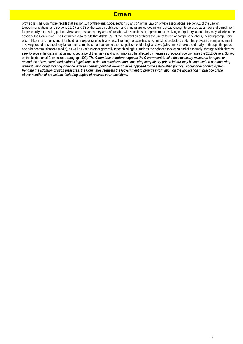## **Oman**

provisions. The Committee recalls that section 134 of the Penal Code, sections 5 and 54 of the Law on private associations, section 61 of the Law on telecommunications, and sections 25, 27 and 33 of the Law on publication and printing are worded in terms broad enough to be used as a means of punishment for peacefully expressing political views and, insofar as they are enforceable with sanctions of imprisonment involving compulsory labour, they may fall within the scope of the Convention. The Committee also recalls that *Article 1(a)* of the Convention prohibits the use of forced or compulsory labour, including compulsory prison labour, as a punishment for holding or expressing political views. The range of activities which must be protected, under this provision, from punishment involving forced or compulsory labour thus comprises the freedom to express political or ideological views (which may be exercised orally or through the press and other communications media), as well as various other generally recognized rights, such as the right of association and of assembly, through which citizens seek to secure the dissemination and acceptance of their views and which may also be affected by measures of political coercion (see the 2012 General Survey on the fundamental Conventions, paragraph 302). *The Committee therefore requests the Government to take the necessary measures to repeal or amend the above-mentioned national legislation so that no penal sanctions involving compulsory prison labour may be imposed on persons who, without using or advocating violence, express certain political views or views opposed to the established political, social or economic system. Pending the adoption of such measures, the Committee requests the Government to provide information on the application in practice of the above-mentioned provisions, including copies of relevant court decisions.*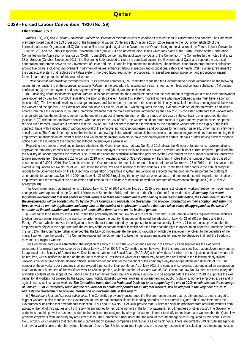### **C029 - Forced Labour Convention, 1930 (No. 29)**

#### *Observation 2019*

 *Articles 1(1), 2(1) and 25 of the Convention. Vulnerable situation of migrant workers to conditions of forced labour. Background and context.* The Committee previously noted that at the 103rd Session of the International Labour Conference (ILC) in June 2014, 12 delegates to the ILC, under article 26 of the International Labour Organisation (ILO) Constitution filed a complaint against the Government of Qatar relating to the violation of the Forced Labour Convention, 1930 (No. 29), and the Labour Inspection Convention, 1947 (No. 81). It also noted the discussions which took place at the 104th Session of the Conference Committee on the Application of Standards (CAS) in June 2015, concerning the application by Qatar of the Convention. The Committee further noted that at its 331st Session (October–November 2017), the Governing Body decided to close the complaint against the Government of Qatar and support the technical cooperation programme between the Government of Qatar and the ILO and its implementation modalities. The technical cooperation programme is articulated around five pillars, including: improvement in payment of wages; enhanced labour inspection and occupational safety and health (OSH) systems; refinement of the contractual system that replaces the *kafala* system; improved labour recruitment procedures, increased prevention, protection and prosecution against forced labour; and promotion of the voice of workers.

1. *National legal framework for migrant workers.* In its previous comments, the Committee requested the Government to provide information on the following issues: (i) the functioning of the sponsorship system (*kafala*); (ii) the procedure for issuing exit visas; (iii) recruitment fees and contract substitution; (iv) passport confiscation; (v) the late payment and non-payment of wages; and (vi) migrant domestic workers.

(i) *Functioning of the sponsorship system (kafala).* In its earlier comments, the Committee noted that the recruitment of migrant workers and their employment were governed by Law No. 4 of 2009 regulating the sponsorship system. Under this system, migrant workers who have obtained a visa must have a sponsor (section 180). The law forbids workers to change employer, and the temporary transfer of the sponsorship is only possible if there is a pending lawsuit between the worker and the sponsor. The Committee also took note of Law No. 21 of 2015 which regulates the entry, exit and residence of migrant workers and which entered into force in December 2016. The Committee observed that the main new feature introduced by the Law of 2015 consisted of the fact that workers may change jobs without the employer's consent at the end of a contract of limited duration or after a period of five years if the contract is of unspecified duration (section 21(2)) without the employer's consent; whereas under the Law of 2009, the worker could not return to work in Qatar for two years in case the sponsor refused such transfer. However, it observed that the Law of 2015 did not seem to foresee termination by the expatriate worker before the expiry of the initial contract (that is with a notice period) without approval of the employer nor did it set out reasons and conditions for termination generally, other than in a few very specific cases. The Committee expressed the firm hope that new legislation would remove all the restrictions that prevent migrant workers from terminating their employment relationship in the event of abuse and would enable migrant workers to leave their employment at certain intervals or after having given reasonable notice during the duration of the contract and without the employer's permission.

 Regarding the transfer of workers in abusive situations, the Committee notes that Law No. 21 of 2015 allows the Minister of Interior or its representative to approve the temporary transfer of a migrant worker to a new employer in cases involving lawsuits between a worker and his/her current employer, provided that the Ministry of Labour approves the transfer. The Committee notes the statistical information provided by the Government on the number of workers transferred to new employers from December 2016 to January 2019 which reached a total of 339,420 permanent transfers. It notes that the number of transfers based on abuse reached 2,309 in 2019. The Committee notes the Government's reference in its report to Minister of Interior Decree No. 25 of 2019 on the issuance of the executive regulations of Law No. 21 of 2015 regulating the entry, exit and residence of foreign nationals. The Committee further notes in the annual progress reports to the Governing Body on the ILO technical cooperation programme in Qatar (annual progress report) that the programme supported the drafting of amendments to Labour Law No. 14 of 2004 and Law No. 21 of 2015 regulating the entry and exit of expatriates and their residence with regard to termination of employment and the removal of the no-objection certificate so as to eliminate restrictions on workers' freedom of movement to change jobs (GB.337/INS/5 paragraph 18).

 The Committee notes that amendments to Labour Law No. 14 of 2004 and Law No. 21 of 2015 to eliminate restrictions on workers' freedom of movement to change jobs were approved by the Council of Ministers in September 2019, and referred to the Shura Council for consideration. *Welcoming this recent*  legislative development that will enable migrant workers to leave their employment after having given reasonable notice, the Committee trusts that *the amendments will be adopted shortly by the Shura Council and requests the Government to provide information on their adoption and entry into*  force as well as on their application, including data on the number of employment transfers that have taken place, disaggregated on the basis of *contracts of limited duration and contracts of unspecified duration and on the basis of gender.*

(ii) *Procedure for issuing exit visas.* The Committee previously noted that Law No. 4 of 2009 on Entry and Exit of Foreign Workers required migrant workers to obtain an exit permit signed by the sponsor in order to leave the country. It subsequently noted the adoption of Law No. 21 of 2015 on Entry and Exit of Foreign Workers which removed the obligation to have the exit permit signed by the sponsor to leave the country. Law No. 21 nevertheless provided that the employer may object to the departure from the country of the expatriate worker in which case the latter had the right to appeal to an Appeals Committee (section 7(2) and (3)). The Committee further observed that the Law did not enumerate the specific grounds on which the employer may object to the departure of the migrant worker from the country. The Committee requested the Government to take the necessary measures to remove the obstacles that limit the freedom of movement of migrant workers.

 The Committee notes with *satisfaction* the adoption of Law No. 13 of 2018 which amends section 7 of Law No. 21 and suppresses the exit permit requirement for migrant workers covered by Labour Law No. 14 of 2004. The Committee notes, however, that this new Law specifies that employers may submit for approval to the Ministry of Administrative Development, Labour and Social Affairs (MADLSA) a list of workers for whom a "no-objection certificate" would still be required, with a justification based on the nature of their work. Positions in which exit permits may be required are limited to the following highly-skilled workers: chief executive officers, finance officers, managers responsible for the oversight of the company's day-to-day operations and directors of ICT. The number of these workers per company shall not exceed 5 per cent of their workforce. As of May 2019, the number of companies that requested an exception up to a maximum of 5 per cent of the workforce was 12,430 companies, while the number of workers was 38,038. Given that Law No. 13 does not cover categories of workers outside of the scope of the Labour Law, the Committee notes that a Ministerial Decision is to be adopted before the end of 2019 to suppress the exit permit for all workers not covered by the Labour Law, notably domestic workers, workers in government and public institutions, workers employed at sea and in agriculture, as well as casual workers. *The Committee trusts that the Ministerial Decision to be adopted by the end of 2019, which extends the coverage of Law No. 13 of 2018 thereby removing the requirement to obtain exit permits for all migrant workers, will be adopted in the very near future. It requests the Government to provide information on developments in this regard.*

(iii) *Recruitment fees and contract substitution.* The Committee previously encouraged the Government to ensure that recruitment fees are not charged to migrant workers. It also requested the Government to ensure that contracts signed in sending countries are not altered in Qatar. The Committee notes the Government's indication that amendments to section 33 of Labour Law No. 14 of 2004 provide that: "A licensee shall be prohibited from recruiting workers from abroad on behalf of third parties and from receiving any money for recruiting workers in the form of payment, recruitment fees or other costs". The Government underlines that this provision has been added to the basic contracts signed by all migrant workers in order to clarify to employers and workers that the Qatari law prohibits employers from imposing any recruitment fees. The Committee further notes that the work of recruitment agencies is regulated by Ministerial Decree No. 8 of 2005 which ensures that recruitment is carried out by licensed companies and respects all workers' rights. There are currently 349 recruitment agencies that have a valid license under this system. Moreover, Decree No. 8 holds recruitment agencies in the country responsible for selecting recruitment agencies in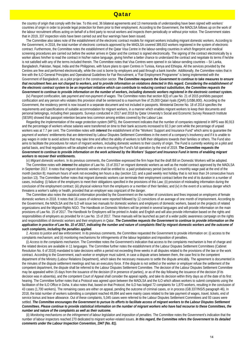## **Oatar**

the country of origin that comply with the law. To this end, 36 bilateral agreements and 13 memoranda of understanding have been signed with workers' countries of origin in order to provide legal protection for them prior to their employment. According to the Government, the MADLSA follows up on the work of the labour recruitment offices acting on behalf of a third party to recruit workers and inspects them periodically or without prior notice. The Government states that in 2019, 337 inspection visits have been carried out and four warnings have been issued.

 The Committee also takes note of the establishment of the electronic contract models for migrant workers including migrant domestic workers. According to the Government, in 2018, the total number of electronic contracts approved by the MADLSA covered 389,810 workers registered in the system of electronic contract. Furthermore, the Committee notes the establishment of the Qatar Visa Centre in the labour-sending countries in which fingerprint and medical screening procedures are carried out before the worker arrives in Qatar and the contract is signed electronically. The signing of the contract electronically by a worker allows him/her to read the contract in his/her native language, giving him/her a better chance to understand the contract and negotiate its terms if he/she is not satisfied with any of the terms included therein. The Committee notes that Visa Centres were opened in six labour-sending countries – Sri Lanka, Bangladesh, Pakistan, Nepal, India and the Philippines, with future plans to open Centres in Tunisia, Kenya and Ethiopia. All the services provided by the Centres are free and performed electronically, while the cost is borne by employers and paid through a bank transfer. Additionally, the Committee notes that in line with the ILO General Principles and Operational Guidelines for Fair Recruitment, a "Fair Employment Programme" is being implemented with the Government of Bangladesh, as a pilot project in the construction sector. *The Committee requests the Government to continue to take measures to ensure that recruitment fees are not charged to workers, and to provide information on violations detected in this regard. Considering the establishment of the electronic contract system to be an important initiative which can contribute to reducing contract substitution, the Committee requests the Government to continue to provide information on the number of workers, including domestic workers registered in the electronic contract system.*

(iv) *Passport confiscation, late payment and non-payment of wages.* The Committee notes that section 8(3) of Law No. 21 of 2015 prohibits passport confiscation and any person who violates this provision shall be sentenced to a maximum fine of 25,000 Qatari riyals (QAR) (US\$6,800). According to the Government, the residency permit is now issued in a separate document and not included in passports. Ministerial Decree No. 18 of 2014 specifies the requirements and specifications of suitable accommodation for migrant workers, in a manner which enables migrant workers to keep their documents and personal belongings, including their passports. Surveys conducted in 2017 and 2018 by Qatar University's Social and Economic Survey Research Institute (SESRI) showed that passport retention became less common among entities covered by the Labour Law.

 Regarding the implementation of the wage protection system (WPS), the Government indicates that the number of companies registered in WPS was 80,913 and the percentage of workers whose salaries were transferred on time to their bank accounts increased to 92.3 per cent while the percentage of unpaid workers was at 7.7 per cent. The Committee notes with *interest* the establishment of the "Workers' Support and Insurance Fund" which aims to guarantee the payment of workers' entitlements that are determined by Labour Disputes Settlement Committees in the event of a company's insolvency and if it is unable to pay wages in order to avoid actions that may take time and affect the ability of workers to fulfil their obligations towards their families or others. The Fund also aims to facilitate the procedures for return of migrant workers, including domestic workers to their country of origin. The Fund is currently working on a pilot and partial basis, and final regulations will be adopted with a view to ensuring the Fund's full operation by the end of 2019. *The Committee requests the Government to continue to provide information on the work achieved by the Workers' Support and Insurance Fund in terms of enabling migrant workers to recover their entitlements.*

(v) *Migrant domestic workers.* In its previous comments, the Committee expressed the firm hope that the draft Bill on Domestic Workers will be adopted. The Committee notes with *interest* the adoption of Law No. 15 of 2017 on migrant domestic workers as well as the model contract approved by the MADLSA in September 2017. It notes that migrant domestic workers shall be entitled to: a paid probationary period (section 6); a monthly wage paid at the end of the month (section 8); maximum hours of work not exceeding ten hours a day (section 12); and a paid weekly rest holiday that is not less than 24 consecutive hours (section 13). The Committee further notes that migrant domestic workers can terminate their employment contract before the end of its duration in a number of cases, including: (i) failure of the employers to meet their obligations specified in the provisions of this Law; (ii) provision of misleading information during the conclusion of the employment contract; (iii) physical violence from the employers or a member of their families; and (iv) in the event of a serious danger which threatens a worker's safety or health, provided that an employer was cognizant of the danger.

 The Committee also notes the statistical information provided by the Government on the number of convictions and fines imposed on employers of female domestic workers in 2018. It notes that 16 cases of violence were reported followed by 12 convictions of an average of one month of imprisonment. According to the Government, the MADLSA and the ILO will issue two manuals for domestic workers and employers of domestic workers, based on the projects of related organizations and the Migrant-Rights NGO. The Handbook on Domestic Workers will be printed in several languages and will provide information on the main provisions of Law No. 15 of 2017. The Handbook for Employers will be printed in Arabic and English and will also provide information based on the rights and responsibilities of employers as provided for in Law No. 15 of 2017. These manuals will be launched as part of a wider public awareness campaign on the rights and responsibilities of domestic workers and their employers in Qatar. *The Committee requests the Government to continue to provide information on the*  application in practice of Law No. 15 of 2017, indicating the number and nature of complaints filed by migrant domestic workers and the outcome of *such complaints, including the penalties applied.*

2. *Access to justice and law enforcement.* In its previous comments, the Committee requested the Government to provide information on: (i) access to the complaints mechanism; and (ii) monitoring mechanisms for infringements of the labour legislation and imposition of penalties.

(i) *Access to the complaints mechanism.* The Committee notes the Government's indication that access to the complaints mechanism is free of charge and the related devices are available in 11 languages. The Committee further notes the establishment of the Labour Disputes Settlement Committees (Cabinet Resolution No. 6 of 2018) mandated to take decisions within a period not exceeding three weeks in all disputes related to the provisions of the law or the work contract. According to the Government, each worker or employer must submit, in case a dispute arises between them, the case first to the competent department of the Ministry (Labour Relations Department), which takes the necessary measures to settle the dispute amicably. The agreement is documented in the minutes of the dispute settlement meetings and has an executory force. If the dispute is not settled or the worker or employer refuse the settlement of the competent department, the dispute shall be referred to the Labour Disputes Settlement Committee. The decision of the Labour Disputes Settlement Committee may be appealed within 15 days from the issuance of the decision (if in presence of parties), or as of the day following the issuance of the decision (if its decision was in absentia), and the competent Court of Appeal shall consider the appeal rapidly, and take its decision within thirty days as of the date of its first hearing. The Committee further notes that a Protocol was agreed upon between the MADLSA and the ILO which allows workers to submit complaints using the facilitation of the ILO Office in Doha. It also notes that, based on that Protocol, the ILO has lodged 72 complaints for 1,870 workers, resulting in the conclusion of 43 cases (1,700 workers). The remaining cases are either on appeal, pending the outcome of criminal cases, or in process (GB.337/INS/5 paragraph 46). In 2018, the total number of workers submitting a complaint reached 49,894 and were mainly cases related to the late payment of wages, travel, tickets, end of service bonus and leave allowance. Out of these complaints, 5,045 cases were referred to the Labour Disputes Settlement Committees and 93 cases were settled. *The Committee encourages the Government to pursue its efforts to facilitate access of migrant workers to the Labour Disputes Settlement Committees. Please continue to provide statistical information on the number of migrant workers who have had recourse to these Committees, the number and nature of the complaints as well as their outcome.*

(ii) *Monitoring mechanisms on the infringement of labour legislation and imposition of penalties.* The Committee notes the Government's indication that the number of labour inspectors reached 270 dedicated to migrant worker-related issues. *In this regard, the Committee refers the Government to its detailed comments under the Labour Inspection Convention, 1947 (No. 81).*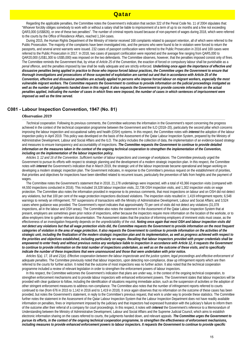## Qatar

 Regarding the applicable penalties, the Committee notes the Government's indication that section 322 of the Penal Code No. 11 of 2004 stipulates that: "Whoever forcibly obliges somebody to work with or without a salary shall be liable to imprisonment of a term of up to six months and a fine not exceeding QAR3,000 (US\$826), or one of these two penalties". The number of criminal reports issued because of non-payment of wages during 2018, which were referred to the courts by the Office of Residence Affairs, reached 1,164 cases.

During 2015, the Human Rights Department of the Ministry of Interior received 168 complaints related to passport retention, all of which were referred to the Public Prosecution. The majority of the complaints have been investigated into, and the persons who were found to be in violation were forced to return the passports, and several arrest warrants were issued. 232 cases of passport confiscation were referred to the Public Prosecution in 2016 and 169 cases were referred to the Public Prosecution in 2017. In 2018, two cases of passport confiscation were reported and the average fine ranging from QAR5,000 to QAR20,000 (US\$1,300 to US\$5,000) was imposed on the two defendants. The Committee observes, however, that the penalties imposed consist only of fines. The Committee reminds the Government that, by virtue of *Article 25* of the Convention, the exaction of forced or compulsory labour shall be punishable as a *penal* offence, and the penalties imposed by law shall be really adequate and are strictly enforced. *Underlining once again the importance of effective and dissuasive penalties being applied in practice to those who impose forced labour practices, the Committee urges the Government to ensure that thorough investigations and prosecutions of those suspected of exploitation are carried out and that in accordance with Article 25 of the Convention, effective and dissuasive penalties are actually applied to persons who impose forced labour on migrant workers, especially the most vulnerable migrant workers. The Committee requests the Government to continue to provide information on the judicial proceedings instigated as*  well as the number of judgments handed down in this regard. It also requests the Government to provide concrete information on the actual *penalties applied, indicating the number of cases in which fines were imposed, the number of cases in which sentences of imprisonment were imposed as well as the time served.*

## **C081 - Labour Inspection Convention, 1947 (No. 81)**

#### *Observation 2019*

 *Technical cooperation.* Following its previous comments, the Committee welcomes the information in the Government's report concerning the progress achieved in the context of the technical cooperation programme between the Government and the ILO (2018–20), particularly the second pillar which concerns improving the labour inspection and occupational safety and health (OSH) systems. In this respect, the Committee notes with *interest* the adoption of the labour inspection policy in April 2019. This policy was developed on the basis of the Assessment of the Qatar Labour Inspection System, prepared by the Ministry of Administrative Development, Labour and Social Affairs and the ILO. The policy includes the collection of data, the implementation of an evidence-based strategy and measures to ensure transparency and accountability of inspections. *The Committee requests the Government to continue to provide detailed information on the measures taken in the context of the ongoing technical cooperation to strengthen the implementation of the Convention, including on the implementation of the labour inspection policy.*

 *Articles 3, 12 and 16 of the Convention. Sufficient number of labour inspections and coverage of workplaces.* The Committee previously urged the Government to pursue its efforts with respect to strategic planning and the development of a modern strategic inspection plan. In this respect, the Committee notes with *interest* the Government's indication that in March 2019, the strategic unit of the labour inspectorate became operational and began working on developing a modern strategic inspection plan. The Government indicates, in response to the Committee's previous request on the establishment of priorities, that priorities and objectives for inspections have been identified related to recurrent issues, particularly the prevention of falls from heights and the payment of wages.

 The Committee notes the Government's statement that in 2018, 21,178 undertakings were inspected, with a total of 43,366 inspection visits (compared with 44,550 inspections conducted in 2016). This included 19,328 labour inspection visits, 22,736 OSH inspection visits, and 1,302 inspection visits on wage protection. The Committee also notes the information provided in response to its previous comments, that most inspections on labour and on OSH did not detect any violations, but that 100 per cent of the wage protection inspections disclosed violations. The inspection visits resulted in: 1,419 infringement reports; 6,548 warnings to remedy an infringement; 797 suspensions of transactions with the Ministry of Administrative Development, Labour and Social Affairs; and 3,524 cases where guidance was provided. The Government's report indicates that approximately 70 per cent of visits did not detect any violations (31,078 inspections, all in the labour and OSH areas). The Committee also notes the statement in the Assessment of the Qatar Labour Inspection System that at present, employers are sometimes given prior notice of inspections, either because the inspectors require more information on the location of the worksite, or to allow employers time to gather relevant documentation. The Assessment states that the practice of informing employers of imminent visits must cease, as the effectiveness of an investigation frequently depends on the unpredictability of the visit. *Noting once again that most OSH and labour inspection visits did not detect any violations but that all wage protection visits did, the Committee requests the Government to provide information on the most frequent categories of violation in the area of wage protection. It also requests the Government to continue to provide information on the activities of the strategic unit, including the finalization of the modern strategic inspection plan and its implementation, as well as progress achieved with respect to the priorities and objectives established, including particularly on wages. Recalling that labour inspectors provided with proper credentials shall be empowered to enter freely and without previous notice any workplace liable to inspection in accordance with Article 12, it requests the Government to continue to provide information on the total number of inspections undertaken, as well as on the outcome of these visits, and to specifically indicate the number of these inspections that were unannounced and those that were undertaken with prior notice.*

 *Articles 5(a), 17, 18 and 21(e). Effective cooperation between the labour inspectorate and the justice system, legal proceedings and effective enforcement of adequate penalties.* The Committee previously noted that labour inspectors, upon detecting non-compliance, draw up infringement reports which are then referred to the courts for further action. It noted that the outcome of most inspections was no further action. It also noted that the technical cooperation programme included a review of relevant legislation in order to strengthen the enforcement powers of labour inspectors.

 In this respect, the Committee welcomes the Government's indication that plans are under way, in the context of the ongoing technical cooperation, to strengthen enforcement mechanisms and to provide labour inspectors with enhanced enforcement powers. The Government states that labour inspectors will be provided with clear guidance to follow, including the identification of situations requiring immediate action, such as the suspension of activities or the adoption of other stringent enforcement measures to address non-compliance. The Committee also notes that the number of infringement reports referred to courts continued to rise (from 676 in 2015 to 1,142 in 2016 and to 1,419 in 2018). It once again observes that no information on the outcome of these cases has been provided, but notes the Government's statement, in reply to the Committee's previous request, that work is under way to provide these statistics. The Committee further notes the statement in the Assessment of the Qatar Labour Inspection System that the Labour Inspection Department does not have readily available information on penalties, fines or imprisonment imposed by the judiciary and that inspectors had expressed frustration with the judiciary's failure to inform them of the outcome after their referral of a company for court proceedings. In this respect, it notes with *interest* the Government's reference to a Memorandum of Understanding between the Ministry of Administrative Development, Labour and Social Affairs and the Supreme Judicial Council, which aims to establish electronic information sharing on the cases referred to courts, the judgments handed down, and relevant appeals. *The Committee urges the Government to pursue its efforts, in the context of the ongoing technical cooperation programme, to strengthen the effectiveness of enforcement mechanisms, including measures to provide enhanced enforcement powers to labour inspectors. It requests the Government to continue to provide specific*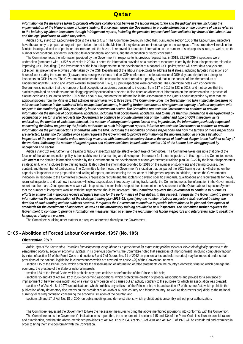## Qatar

information on the measures taken to promote effective collaboration between the labour inspectorate and the judicial system, including the *implementation of the Memorandum of Understanding. It once again urges the Government to provide information on the outcome of cases referred to the judiciary by labour inspectors through infringement reports, including the penalties imposed and fines collected by virtue of the Labour Law and the legal provisions to which they relate.*

 *Articles 5(a), 9 and 13. Labour inspection in the area of OSH.* The Committee previously noted that, pursuant to section 100 of the Labour Law, inspectors have the authority to prepare an urgent report, to be referred to the Minister, if they detect an imminent danger in the workplace. These reports will result in the Minister issuing a decision of partial or total closure until the hazard is removed. It requested information on the number of such reports issued, as well as on the number of occupational accidents, including fatal occupational accidents, and the occupation or sector concerned.

 The Committee notes the information provided by the Government in response to its previous request that, in 2018, 22,736 OSH inspections were undertaken (compared with 14,526 such visits in 2016). It notes the information provided on a number of measures taken by the labour inspectorate related to improving OSH, including: (i) the involvement of the labour inspectorate in the development of a national OSH policy, which will cover data analysis and collection; (ii) preventative activities undertaken by the OSH Department of the labour inspectorate to address heat stress, including targeted inspections on hours of work during the summer; (iii) awareness-raising workshops and an OSH conference to celebrate national OSH day; and (iv) further training for inspectors on OSH issues. The Government indicates that the construction sector remains a priority, and that in the context of the Memorandum of Understanding with Building and Wood Workers' International (BWI), 13 joint inspections were carried out. The Committee notes with *concern* the Government's indication that the number of fatal occupational accidents continued to increase, from 117 in 2017 to 123 in 2018, and it observes that the statistics provided on accidents are not disaggregated by occupation or sector. It also notes an absence of information on the implementation in practice of closure decisions pursuant to section 100 of the Labour Law, and notes the information in the Assessment of the Qatar Labour Inspection System that the approval process from the Minister to halt activities usually takes two to three days. *The Committee urges the Government to take immediate measures to address the increase in the number of fatal occupational accidents, including further measures to strengthen the capacity of labour inspectors with*  respect to the monitoring of OSH, particularly in the construction sector. The Committee requests the Government to continue to provide *information on the number of occupational accidents, including fatal occupational accidents, and to ensure that this information is disaggregated by occupation or sector. It also requests the Government to continue to provide information on the number and type of OSH inspection visits undertaken, the number of violations detected, the number of infringement reports issued and, in particular, the information previously requested*  concerning the follow-up given by the judicial authorities to such infringement reports. It further requests the Government to continue to provide information on the joint inspections undertaken with the BWI, including the modalities of these inspections and how the targets of these inspections *are selected. Lastly, the Committee once again requests the Government to provide information on the implementation in practice by labour inspectors of the power to make orders requiring measures with immediate executory force in the event of imminent danger to the health or safety of the workers, indicating the number of urgent reports and closure decisions issued under section 100 of the Labour Law, disaggregated by occupation and sector.*

 *Articles 7 and 10. Recruitment and training of labour inspectors and the effective discharge of their duties.* The Committee takes due note that one of the focuses of the labour inspection policy is the establishment of a learning and development framework for labour inspectors. In this regard, the Committee notes with *interest* the detailed information provided by the Government on the development of a four-year strategic training plan 2019–22 by the labour inspectorate's strategic unit, which includes three training tracks. It also notes the information provided for 2018 on the number of study visits and training courses, their content, and the number of participants. The Committee further notes the Government's indication that, as part of the 2020 training plan, it will strengthen the capacity of inspectors in the preparation and writing of reports, and concerning the issuance of infringement reports. In addition, it notes the Government's indication, in response to the Committee's previous request on recruitment, that it plans to develop specific standards, qualifications and requirements for newly recruited inspectors, and that new inspectors will follow a specialized introductory training track. Lastly, the Committee notes the information in the Government's report that there are 12 interpreters who work with inspectors. It notes in this respect the statement in the Assessment of the Qatar Labour Inspection System that the number of interpreters working with the inspectorate should be increased. *The Committee requests the Government to continue to pursue its efforts to ensure that inspectors receive adequate training for the performance of their duties. In this respect, it requests the Government to provide information on the implementation of the strategic training plan 2019–22, specifying the number of labour inspectors that received training, the*  duration of such training and the subjects covered. It requests the Government to continue to provide information on its planned development of *standards for the recruitment of inspectors, as well as the introductory training provided to new inspectors. The Committee further requests the*  Government to continue to provide information on measures taken to ensure the recruitment of labour inspectors and interpreters able to speak the *languages of migrant workers.*

The Committee is raising other matters in a request addressed directly to the Government.

## **C105 - Abolition of Forced Labour Convention, 1957 (No. 105)**

### *Observation 2019*

 *Article 1(a) of the Convention. Penalties involving compulsory labour as a punishment for expressing political views or views ideologically opposed to the established political, social or economic system.* In its previous comments, the Committee noted that sentences of imprisonment (involving compulsory labour, by virtue of section 62 of the Penal Code and sections 6 and 7 of Decree No. 11 of 2012 on penitentiaries and reformatories) may be imposed under certain provisions of the national legislation in circumstances which are covered by *Article 1(a)* of the Convention, namely:

·-section 115 of the Penal Code, which prohibits the dissemination of information or false statements on the country's domestic situation which damage the economy, the prestige of the State or national interests;

·-section 134 of the Penal Code, which prohibits any open criticism or defamation of the Prince or his heir;

·-sections 35 and 43 of Act No. 12 of 2004 concerning associations, which prohibit the creation of political associations and provide for a sentence of imprisonment of between one month and one year for any person who carries out an activity contrary to the purpose for which an association was created; ·-section 46 of Act No. 8 of 1979 on publications, which prohibits any criticism of the Prince or his heir, and section 47 of the same Act, which prohibits the

publication of any defamatory documents on the president of an Arab or Muslim country or a friendly country, as well as documents prejudicial to the national currency or raising confusion concerning the economic situation of the country; and

·-sections 15 and 17 of Act No. 18 of 2004 on public meetings and demonstrations, which prohibit public assembly without prior authorization.

 The Committee requested the Government to take the necessary measures to bring the above-mentioned provisions into conformity with the Convention. The Committee notes the Government's indication in its report that, the amendment of sections 115 and 134 of the Penal Code is still under consideration and examination, and that the above-mentioned provisions of Act No. 12 of 2004, Act No. 18 of 2004 and Act No. 8 of 1979 will be considered and examined in order to bring them into conformity with the Convention.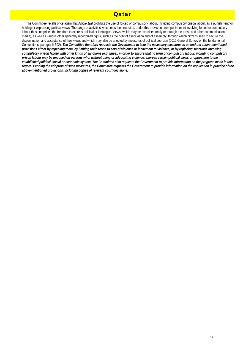## **Oatar**

 The Committee recalls once again that *Article 1(a)* prohibits the use of forced or compulsory labour, including compulsory prison labour, as a punishment for holding or expressing political views. The range of activities which must be protected, under this provision, from punishment involving forced or compulsory labour thus comprises the freedom to express political or ideological views (which may be exercised orally or through the press and other communications media), as well as various other generally recognized rights, such as the right of association and of assembly, through which citizens seek to secure the dissemination and acceptance of their views and which may also be affected by measures of political coercion (2012 General Survey on the fundamental Conventions, paragraph 302). *The Committee therefore requests the Government to take the necessary measures to amend the above-mentioned provisions either by repealing them, by limiting their scope to acts of violence or incitement to violence, or by replacing sanctions involving compulsory prison labour with other kinds of sanctions (e.g, fines), in order to ensure that no form of compulsory labour, including compulsory prison labour may be imposed on persons who, without using or advocating violence, express certain political views or opposition to the established political, social or economic system. The Committee also requests the Government to provide information on the progress made in this*  regard. Pending the adoption of such measures, the Committee requests the Government to provide information on the application in practice of the *above-mentioned provisions, including copies of relevant court decisions.*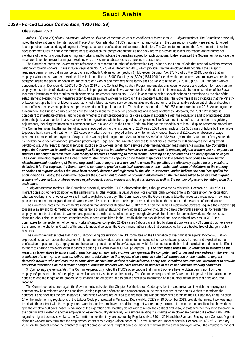### **C029 - Forced Labour Convention, 1930 (No. 29)**

### *Observation 2019*

 *Articles 1(1) and 2(1) of the Convention. Vulnerable situation of migrant workers to conditions of forced labour.* 1. *Migrant workers.* The Committee previously noted the observations of the International Trade Union Confederation (ITUC) that many migrant workers in the construction industry were subject to forced labour practices such as delayed payment of wages, passport confiscation and contract substitution. The Committee requested the Government to take the necessary measures to enable migrant workers to approach the competent authorities and seek redress; provide statistical information on the number of violations of the working conditions of migrant workers, and to indicate the penalties applied for such violations. It also requested the Government to indicate the measures taken to ensure that migrant workers who are victims of abuse receive appropriate assistance.

 The Committee notes the Government's reference in its report to a number of implementing Regulations of the Labour Code that cover all workers, whether national or foreign workers. These include Regulation No. 70273 of 20 December 2018, which provides that the employer shall not retain the passport, residence permit or medical insurance card of a non-Saudi Arabian worker (section 6). Moreover, Decision No. 178743 of 31 May 2019, provides that an employer who forces a worker to work shall be liable to a fine of 15,000 Saudi riyals (SAR) (US\$4,000) for each worker concerned. An employer who retains the passport, residence permit or health insurance card of a worker and members of his family shall be liable to a fine of SAR5,000 (US\$1,300) for each worker concerned. Lastly, Decision No. 156309 of 24 April 2019 on the Contract Registration Programme enables employers to access and update information on the employment contracts of private sector workers. This programme also allows workers to check the data in their contracts via the online services of the Social Insurance institution, which requires establishments to implement Decision No. 156309 in accordance with a specific schedule determined by the size of the establishment. Regarding the measures taken to enable migrant workers to approach the competent authorities, the Government also indicates that the Ministry of Labour set-up a hotline for labour issues, launched a labour advisory service, and established departments for the amicable settlement of labour disputes in labour offices to receive complaints as a procedure prior to filing a labour claim. The hotline responded to 1,601,258 communications in 2018. According to the Government, the Public Security agencies are the bodies in charge of receiving complaints and reports of offences. Moreover, the Public Prosecutor is competent to investigate offences and to decide whether to institute proceedings or close a case in accordance with the regulations and to bring prosecutions before the judicial authorities in accordance with the regulations, within the scope of its competence. The Government also refers to a number of regulatory adjustments, including the insertion of new sections Nos 234 and 235 to the Labour Code providing for the expeditious of labour dispute settlement procedures. The Committee notes that the number of violations recorded during the first quarter of 2019 was 85,538 cases, including 12,585 cases of failure by the employer to provide healthcare and treatment; 4,625 cases of workers being employed without a written employment contract; and 812 cases of absence of wage payment. For cases of non-payment of wages a fine was applied ranging from SAR10,000 to SAR5,000 (US\$2,600–1,300). The Government finally states that 12 shelters have been established, providing psychological, legal and labour-related services to beneficiaries, staffed by 120 employees including expert psychologists. With regard to medical services, public sector workers benefit from services under the mandatory health insurance system. *The Committee urges the Government to continue to strengthen its legal and institutional framework to ensure that, in practice, migrant workers are not exposed to practices that might increase their vulnerability to practices amounting to forced labour, including passport retention and non-payment of wages. The Committee also requests the Government to strengthen the capacity of the labour inspectors and law enforcement bodies to allow better identification and monitoring of the working conditions of migrant workers, and to ensure that penalties are effectively applied for any violations detected. It further requests the Government to continue to provide statistical information on the number and nature of violations of the working conditions of migrant workers that have been recently detected and registered by the labour inspectors, and to indicate the penalties applied for such violations. Lastly, the Committee requests the Government to continue providing information on the measures taken to ensure that migrant workers who are victims of abuse receive psychological, social, medical and legal assistance as well as the number of persons benefiting from this assistance.*

2. *Migrant domestic workers.* The Committee previously noted the ITUC's observations that, although covered by Ministerial Decision No. 310 of 2013, migrant domestic workers do not enjoy the same rights as other workers in Saudi Arabia. For example, daily working time is 15 hours under the Regulation, whereas working time for other workers is limited to eight hours per day. The Committee urged the Government to take the necessary measures, in law and in practice, to ensure that migrant domestic workers are fully protected from abusive practices and conditions that amount to the exaction of forced labour.

 The Committee notes the Government's indication that Ministerial Decision No. 61842 of 2017 on the Unified Employment Contract, requires the employer: (i) to issue a salary slip for domestic workers and persons of similar status for every domestic worker through the banks offering this service; (ii) to register the employment contract of domestic workers and persons of similar status electronically through *Musaned,* the platform for domestic workers. Moreover, two domestic labour dispute settlement committees have been established in the Riyadh shelter to provide legal and labour-related services. In 2018, the committees for the settlement of domestic workers' disputes completed 21,409 cases (labour cases) filed by domestic workers and 439 domestic workers were transferred to the shelter in Riyadh. With regard to medical services, the Government further states that domestic workers are treated free of charge in public hospitals.

 The Committee further notes that in its 2018 concluding observations the UN Committee on the Elimination of Discrimination against Women (CEDAW) expressed its concern about the situation of migrant domestic workers who continue to be subjected to economic and physical abuse and exploitation, the confiscation of passports by employers and the de facto persistence of the *kafala* system, which further increases their risk of exploitation and makes it difficult for them to change employers, even in cases of abuse (CEDAW/C/SAU/CO/3–4, paragraph 37). *The Committee urges the Government to strengthen the measures taken above to ensure that in practice, migrant domestic workers can approach the competent authorities and seek redress in the event of a violation of their rights or abuses, without fear of retaliation. In this regard, please provide statistical information on the number of migrant domestic workers who had recourse to complaints mechanisms and the results achieved. Lastly, the Committee requests the Government to provide statistical information on the number of migrant domestic workers who have received assistance in the case of abusive working conditions.*

3. *Sponsorship system (kafala).* The Committee previously noted the ITUC's observations that migrant workers have to obtain permission from their employers/sponsors to transfer employer as well as an exit visa to leave the country. The Committee requested the Government to provide information on the conditions and the length of the procedure for changing an employer, and to provide statistical information on the number of transfers that have occurred recently.

 The Committee notes once again the Government's indication that Chapter 3 of the Labour Code specifies the circumstances in which the employment contract may be terminated and the conditions relating to periods of notice and compensation in the event that one of the parties wishes to terminate the contract. It also specifies the circumstances under which workers are entitled to leave their jobs without notice while retaining their full statutory rights. Section 14 of the implementing regulations of the Labour Code promulgated in Ministerial Decision No. 70273 of 20 December 2018, provide that migrant workers may terminate the contract with the employer and work for another employer. In addition, migrant workers may terminate the contract on condition that the workers give the employer 60 days' notice in advance of the expiration date that they do not wish to renew the contract and, also, to state whether they wish to remain in the country and transfer to another employer or leave the country definitively. All services relating to a change of employer are carried out electronically. With regard to migrant domestic workers, the Committee notes that they are covered by Regulation No. 310 of 2014 and the Standard Employment Contract. Migrant domestic workers may terminate the employment contract by giving a written notice of 30 days. Moreover, under Ministerial Decision No. 605 of 12 February 2017, on the procedures for the transfer of migrant domestic workers, migrant domestic workers may transfer to a new employer without the employer's consent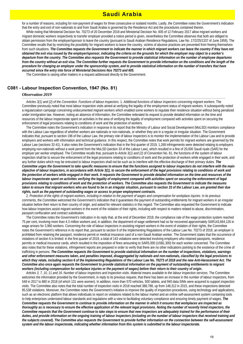## Saudi Arabia

for a number of reasons, including for non-payment of wages for three consecutive or isolated months. Lastly, the Committee notes the Government's indication that the entry and exit of non-nationals to and from Saudi Arabia is governed by the Residence Act and the procedures contained therein.

 While noting that Ministerial Decision No. 70273 of 20 December 2018 and Ministerial Decision No. 605 of 12 February 2017 allow migrant workers and migrant domestic workers respectively to transfer employer provided a notice period is given, nevertheless the Committee observes that both are obliged to obtain permission from the employer/sponsor to leave the country (pursuant to Saudi Arabian Residence Regulations, Law No. 17/2/25/1337 of June 1959). The Committee recalls that by restricting the possibility for migrant workers to leave the country, victims of abusive practices are prevented from freeing themselves from such situations. *The Committee requests the Government to indicate the manner in which migrant workers can leave the country if they have not obtained the exit visa issued by the employer/sponsor, indicating the criteria on the grounds for which the employer may object to a worker's departure from the country. The Committee also requests the Government to provide statistical information on the number of employee departures from the country without an exit visa. The Committee further requests the Government to provide information on the conditions and the length of the procedure for changing an employer under the sponsorship system, and to provide statistical information on the number of transfers that have occurred since the entry into force of Ministerial Decisions Nos 70273 and 605.*

The Committee is raising other matters in a request addressed directly to the Government.

## **C081 - Labour Inspection Convention, 1947 (No. 81)**

#### *Observation 2019*

 *Articles 3(1) and (2) of the Convention. Functions of labour inspectors.* 1. *Additional functions of labour inspectors concerning migrant workers.* The Committee previously noted that most labour inspection visits aimed at verifying the legality of the employment status of migrant workers. It subsequently noted a regularization campaign concerning undocumented migrant workers which enabled some workers to regulate their residence situation without being penalized under immigration law. However, noting an absence of information, the Committee reiterated its request to provide detailed information on the time and resources of the labour inspectorate spent on activities in the area of verifying the legality of employment compared with activities spent on securing the enforcement of legal provisions relating to conditions of work and the protection of workers.

 The Committee notes the Government's indication in response in its report that the Ministry of Labour and Social Development (MoLSD) monitors compliance with the Labour Law regardless of whether workers are nationals or non-nationals, or whether they are in a regular or irregular situation. The Government indicates that, pursuant to section 196 of the Labour Law, the primary role of labour inspectors is to monitor the implementation of the Labour Law and to provide employers and workers with information and technical guidance. In this respect, the Committee notes that work permits for migrant workers are governed by the Labour Law (sections 32-41). It also notes the Government's indication that in the first quarter of 2019, 1,269 infringements were detected relating to employers employing non-nationals without a work permit from the MoLSD (section 33 of the Labour Law), which resulted in a fine of 20,000 Saudi riyals (SAR) for the employer per worker employed. The Committee recalls that, pursuant to *Article 3(1) and (2)* of Convention No. 81, the functions of the system of labour inspection shall be to secure the enforcement of the legal provisions relating to conditions of work and the protection of workers while engaged in their work, and any further duties which may be entrusted to labour inspectors shall not be such as to interfere with the effective discharge of their primary duties. *The Committee urges the Government to take specific measures to ensure that the functions assigned to labour inspectors do not interfere with the main objective of labour inspectors, in accordance with Article 3(1), to secure the enforcement of the legal provisions relating to conditions of work and the protection of workers while engaged in their work. It requests the Government to provide detailed information on the time and resources of the*  labour inspectorate spent on activities verifying the legality of employment compared with activities spent on securing the enforcement of legal *provisions relating to conditions of work and the protection of workers. The Committee also requests the Government to indicate the measures*  taken to ensure that migrant workers who are found to be in an irregular situation, pursuant to section 33 of the Labour Law, are granted their due *rights, such as the payment of outstanding wages or access to proper employment contracts.*

2. *Protection of the rights of migrant workers, including in relation to the payment of wages and compensation for workplace injuries.* In its previous comments, the Committee welcomed the Government's indication that it guarantees the payment of outstanding entitlements for migrant workers in an irregular situation before their return to their country of origin, and asked for relevant statistics in this regard. The Committee also requested the Government to indicate how labour inspectors assist migrant workers in the event of the violation of their rights, including with respect to matters related to abuse, discrimination, passport confiscation and contract substitution.

 The Committee notes the Government's indication in its reply that, at the end of December 2018, the compliance rate of the wage protection system reached 75 per cent, involving more than 4.3 million workers and, in addition, the department of wage settlement had so far recovered approximately SAR143,664,126 in wage arrears for 3,960 workers. Concerning the role of labour inspectors in assisting migrant workers in the event of violation of their rights, the Committee notes the Government's reference in its report that, pursuant to section 6 of the Implementing Regulations of the Labour Law No. 70273 of 2018, an employer is prohibited from retaining the passport, residence permit or medical insurance card of a non-Saudi Arabian worker. The Government states that the occurrence of violations of section 6 is limited: in the first quarter of 2019, a total of 143 violations were detected involving employers who retained passports, residence permits or medical insurance cards, which resulted in the imposition of fines amounting to SAR5,000 (US\$1,300) for each worker concerned. The Committee also notes that for these violations, infringement reports are prepared in order to verify that there are no other indications pointing to the existence of the crime of trafficking in persons. *The Committee requests the Government to provide statistical information on the number of inspections, violations, warnings and other enforcement measures taken, and penalties imposed, disaggregated by nationals and non-nationals, classified by the legal provisions to which they relate, including section 6 of the Implementing Regulations of the Labour Law No. 70273 of 2018 and the new Anti-Harassment Act. The Committee also once again requests the Government to provide statistical information on the payment of outstanding entitlements to migrant workers (including compensation for workplace injuries or the payment of wages) before their return to their country of origin.*

 *Articles 3, 7, 10, 11 and 16. Number of labour inspectors and inspection visits. Material means available to the labour inspection services.* The Committee welcomes the information provided by the Government, in reply to its previous request, that there has been an increase in the number of labour inspectors, from 548 in 2017 to 880 in 2018 (of which 131 were women). In addition, more than 570 vehicles, 500 tablets, and 940 data SIMs were acquired to support inspection visits. The Committee also notes that the total number of inspection visits in 2018 reached 388,788, up from 148,312 in 2015, and these inspections detected 85,538 violations. Moreover, the Committee notes the Government's initiative to improve the quality of inspection procedures, using technology and applications, such as an electronic platform that allows individuals to report on violations related to the labour market and an online self-assessment system containing tools to help enterprises understand labour standards and regulations with a view to facilitating voluntary compliance and ensuring timely payment of wages. *The Committee requests the Government to continue to provide information on the manner in which it ensures that workplaces are inspected as thoroughly as is necessary to ensure the effective application of the relevant legal provisions. Noting the number of recently hired inspectors, the Committee requests that the Government continue to take steps to ensure that new inspectors are adequately trained for the performance of their*  duties, and provide information on the ongoing training of labour inspectors (including on the number of labour inspectors that received training and *the subjects covered). The Committee also requests the Government to provide further information on the connection between the self-assessment system and the labour inspectorate, indicating whether information from this system is submitted to the labour inspectorate.*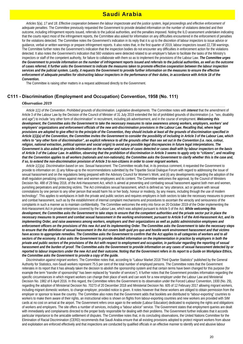## Saudi Arabia

 *Articles 5(a), 17 and 18. Effective cooperation between the labour inspectorate and the justice system, legal proceedings and effective enforcement of adequate penalties.* The Committee previously requested the Government to provide detailed information on the number of violations detected and their outcome, including infringement reports issued, referrals to the judicial authorities, and the penalties imposed. Noting the ILO assessment undertaken indicating that the courts reject most of the infringement reports, the Committee also asked for information on any difficulties encountered in the enforcement of penalties for the violations detected. The Committee notes the Government's indication in its reply that it is up to the discretion of labour inspectors to issue advice or guidance, verbal or written warnings or prepare infringement reports. It also notes that, in the first quarter of 2019, labour inspectors issued 22,738 warnings. The Committee further notes the Government's indication that the inspection bodies do not encounter any difficulties in enforcement action for the violations detected. It also notes the Government's indication that 560 violations were detected related to an employer's failure to facilitate the tasks of the Ministry's inspectors or staff of the competent authority, for failure to collaborate with them so as to implement the provisions of the Labour Law. *The Committee urges the Government to provide information on the number of infringement reports issued and referrals to the judicial authorities, as well as the outcome of cases referred. It further asks the Government to indicate the measures taken to promote effective cooperation between the labour inspection services and the judicial system. Lastly, it requests the Government to provide further information on the measures to ensure the effective enforcement of adequate penalties for obstructing labour inspectors in the performance of their duties, in accordance with Article 18 of the Convention.*

The Committee is raising other matters in a request addressed directly to the Government.

## **C111 - Discrimination (Employment and Occupation) Convention, 1958 (No. 111)**

#### *Observation 2019*

 *Article 1(1) of the Convention. Prohibited grounds of discrimination. Legislative developments.* The Committee notes with *interest* that the amendment of Article 3 of the Labour Law by the Decision of the Council of Minister of 31 July 2019 extended the list of prohibited grounds of discrimination (i.e. "sex, disability and age") to include "any other form of discrimination" in recruitment, including job advertisement, and in the course of employment. *Welcoming this development, the Committee asks the Government to take the necessary measures to raise awareness among workers, employers, workers' and employers' organizations and enforcement officials of the new anti-discrimination provisions in the Labour Law. Recalling that, where legal provisions are adopted to give effect to the principle of the Convention, they should include at least all the grounds of discrimination specified in Article 1(1)(a) of the Convention, the Committee invites the Government to consider the possibility of including in Article 3 of the Labour Law, which refers to "any other form of discrimination", an explicit reference to all the grounds other than sex set out in the Convention (i.e. race, colour, religion, national extraction, political opinion and social origin) to avoid any possible legal discrepancies in future legal interpretations. The Government is also asked to provide information on the number and nature of cases detected or cases dealt with by labour inspectors on the basis of Article 3 of the Labour Law. In addition, observing that the prohibition of discrimination in Article 3 seems to apply only to "citizens", and recalling that the Convention applies to all workers (nationals and non-nationals), the Committee asks the Government to clarify whether this is the case and, if so, to extend the non-discrimination provision of Article 3 to non-citizens in order to cover migrant workers.*

 *Article 1(1)(a). Discrimination based on sex. Sexual harassment.* The Committee recalls that, in its previous comment, it requested the Government to provide to information on: (i) any follow-up to the recommendations submitted by the Tripartite Social Dialogue Forum with regard to addressing the issue of sexual harassment and on the regulations being prepared with the Advisory Council for Women's Work; and (ii) any developments regarding the adoption of the draft regulation penalizing crimes against men and women employees and its content. The Committee welcomes the approval, by the Council of Ministers Decision No. 488 of 29 May 2018, of the Anti-Harassment Act, which is aimed at preventing and combating sexual harassment against both men and women, punishing perpetrators and protecting victims. The Act criminalizes sexual harassment, which is defined as "any utterance, act or gesture with sexual connotations by one person to any other person that would harm his or her body, honour or modesty, by any means, including through the use of modern technology". This applies to workplaces in both the private and public sectors and requires employers in both sectors to take the necessary measures to prevent and combat harassment, such as by the establishment of internal complaint mechanisms and procedures to ascertain the veracity and seriousness of the complaints in such a manner as to maintain confidentiality. The Committee welcomes the entry into force on 20 October 2019 of the Order implementing the Anti-Harassment Act in private enterprises covered by the Labour Law, which was adopted pursuant to Article 5 of the Act. *While welcoming this*  development, the Committee asks the Government to take steps to ensure that the competent authorities and the private sector put in place the *necessary measures to prevent and combat sexual harassment in the working environment, pursuant to Article 5 of the Anti-Harassment Act, and its implementing Order, and raise awareness among workers, employers and their organizations as well as public administration employees and enforcement officers on the provisions of this new Act and its implementing Order. The Committee asks the Government to take the necessary steps to ensure that the definition of sexual harassment in the Act covers both quid pro quo and hostile work environment harassment and that victims have access to appropriate remedies. The Committee asks the Government to confirm that the Act applies to all categories of workers and to all*  sectors of the economy. It also asks the Government to provide detailed information on the implementation in practice by employers in both the *private and public sectors of the provisions of the Act with respect to employment and occupation, in particular regarding the reporting of sexual harassment and the burden of proof. The Committee asks the Government to provide information on any cases of sexual harassment detected by or reported to labour inspectors under the new Act and their outcome. Noting that the Government refers in its report to a Guide on Workplace Ethics, the Committee asks the Government to provide a copy of the guide.*

 *Discrimination against migrant workers.* The Committee notes that, according to "Labour Market 2018 Third Quarter Statistics" published by the General Authority for Statistics, non-Saudi workers represent 75.5 per cent of the total number of employed persons. The Committee notes that the Government reiterates in its report that it has already taken the decision to abolish the sponsorship system and that certain terms have been changed for this purpose (for example the term "transfer of sponsorship" has been replaced by "transfer of services"). It further notes that the Government provides information regarding the specific circumstances in which migrant workers can change their place of work and can work for a new employer under the Labour Law and Ministerial Decision No. 1982 of 6 April 2016. In this regard, the Committee refers the Government to its observation under the Forced Labour Convention, 1930 (No. 29), regarding the adoption of Ministerial Decision No. 70273 of 20 December 2018 and Ministerial Decision No. 605 of 12 February 2017 allowing migrant workers, including migrant domestic workers, to change employer, provided notice is given. It notes however that these workers are obliged to obtain permission from the employer or sponsor to leave the country. The Committee also notes that the Government adds that booklets are distributed to "labour-exporting" countries to workers to make them aware of their rights, an instructional video is shown on flights from labour-exporting countries and new workers are provided with SIM cards at no cost on arrival at the airport. The Government refers once again to the website (Labour Education) dedicated to explaining the rights and obligations of workers and employers. The site offers a number of services, including a "labour advice" service. The Government states that employment queries are dealt with immediately and complainants directed to the proper body responsible for dealing with their problems. The Government further indicates that it accords particular importance to the amicable settlement of disputes. The Committee notes that, in its concluding observations, the United Nations Committee for the Elimination of Racial Discrimination (CERD) recommends that Saudi Arabia ensure that all existing provisions adopted to protect migrant workers from abuse and exploitation are enforced effectively and that inspections are conducted by qualified officials in an effective manner to identify and end abusive labour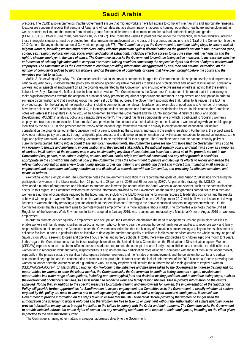## Saudi Arabia

practices. The CERD also recommends that the Government ensure that migrant workers have full access to complaint mechanisms and appropriate remedies. It expresses concern at reports that persons of Asian and African descent face discrimination in access to housing, education, healthcare and employment, as well as societal racism, and that women from minority groups face multiple forms of discrimination on the basis of both ethnic origin and gender (CERD/C/SAU/CO/4–9, 8 June 2018, paragraphs 18, 25 and 27). The Committee wishes to point out that, under the Convention, all migrant workers, including those in irregular situations, must be protected from discrimination in employment on the basis of the grounds set out in *Article 1(1)(a)* of the Convention (see the 2012 General Survey on the fundamental Conventions, paragraph 778). *The Committee urges the Government to continue taking steps to ensure that all migrant workers, including women migrant workers, enjoy effective protection against discrimination on the grounds set out in the Convention (race, colour, sex, religion, political opinion, social origin and national extraction), including effective access to dispute settlement mechanisms and the right to change employer in the case of abuse. The Committee also asks the Government to continue taking active measures to increase the effective enforcement of existing legislation and to carry out awareness-raising activities concerning the respective rights and duties of migrant workers and employers. The Committee asks the Government to continue providing information, disaggregated by sex, race and national extraction, on the number of complaints lodged by migrant workers, and on the number of complaints or cases that have been brought before the courts and the remedies granted to victims.*

 *Article 2. National equality policy.* The Committee recalls that, in its previous comments, it urged the Government to take steps to develop and implement a national equality policy. It added that the policy should include specific legislative measures to define and prohibit direct and indirect discrimination, covering all workers and all aspects of employment on all the grounds enumerated by the Convention, and ensuring effective means of redress, noting that the existing Labour Law (Royal Decree No. M/51) did not include such provisions. The Committee notes the Government's statement in its report that it is continuing to make significant progress towards the adoption of a national policy promoting equality of opportunity and treatment in employment and occupation in order to eliminate discrimination and that a working group has been set up for that purpose. The Government also indicates that, further to its request, the ILO has provided support for the drafting of the equality policy, including comments on the relevant legislation and examples of good practice. A number of meetings have been held since 2017, including with the ILO, to identify and collect documents and information on discrimination issues. In this context, the Committee notes with *interest* the signature in June 2018 of an Agreement between the Government and the ILO "to support the Ministry of Labour and Social Development (MOLSD) in analysis, policy and capacity development". The project has three components, one of which is dedicated to "boosting women's employment towards a more inclusive labour market" and provides for the conduct of a technical study on the situation of women, along with vulnerable groups identified by the MOLSD. It also provides for the review of the national legal framework related to equality in employment and occupation, taking into consideration the grounds set out in the Convention, with a view to identifying the strengths and gaps in the existing legislation. Furthermore, the project aims to develop a national policy on equality through a tripartite-plus process and to develop an implementation plan with recommendations to amend, as necessary, the legal and policy framework. A National Steering Committee is to be established for that purpose. The Committee notes that the national equality policy is currently being drafted. *Taking into account these significant developments, the Committee expresses the firm hope that the Government will soon be in a position to finalize and implement, in consultation with the relevant stakeholders, the national equality policy, and that it will cover all categories of workers in all sectors of the economy with a view to eliminating any form of discrimination based on at least all of the grounds set out in the Convention (sex, gender, race, colour, religion, political opinion, social origin and national extraction) and any other grounds it considers appropriate. In the context of this national policy, the Committee urges the Government to pursue and step up its efforts to review and amend the relevant labour legislation with a view to including specific provisions defining and prohibiting direct and indirect discrimination in all aspects of employment and occupation, including recruitment and dismissal, in accordance with the Convention, and providing for effective sanctions and means of redress.*

 *Promoting women's employment.* The Committee notes the Government's indication in its report that the goals of Saudi Vision 2030 include "increasing the participation of women in the labour market from 22 per cent to 28 per cent in 2020 and 30 per cent by 2030". As part of this strategy, the MOLSD has developed a number of programmes and initiatives to promote and increase job opportunities for Saudi women in various sectors, such as the communications sector. In this regard, the Committee welcomes the detailed information provided by the Government on the training programmes carried out to train men and women in a number of occupations required by the labour market, including the ILEAD Programme for women (access to leadership positions), and the results achieved with respect to women. The Committee also welcomes the adoption of the Royal Decree of 26 September 2017, which allows the issuance of driving licences to women, thereby removing a genuine obstacle to their employment. Referring to the above-mentioned cooperation agreement with the ILO, the Committee notes that this agreement aims to promote women's employment in a more inclusive labour market. The Committee also notes that the Unified Regulation of the Women's Work Environment Initiative, adopted in January 2019, was repealed and replaced by a Ministerial Order of August 2019 on women's employment.

 In order to promote gender equality in employment and occupation, the Committee emphasizes the need to adopt measures and put in place facilities to enable workers with family responsibilities, in particular women, who continue to bear the unequal burden of family responsibilities, to reconcile work and family responsibilities. In this respect, the Committee notes the Government's indication that the Ministry of Education is implementing a policy on the establishment of childcare facilities. It notes in particular that an initiative to develop the number and quality of childcare facilities and services across the whole country, as part of Saudi Vision 2030, is seeking to open and operate 1,500 crèches and nursery schools. In 2016, there were 922 crèches for children aged one month to 3 years. In this regard, the Committee notes that, in its concluding observations, the United Nations Committee on the Elimination of Discrimination against Women (CEDAW) expresses concern at the insufficient measures adopted to promote the concept of shared family responsibilities and to combat the difficulties that women face in reconciling work and family responsibilities. It also notes the low participation rates of women, compared with those of men in the labour market, especially in the private sector; the significant discrepancy between women's and men's rates of unemployment; and the persistent horizontal and vertical occupational segregation and the concentration of women in low-paid jobs. It further notes the lack of enforcement of the 2012 Ministerial Decree providing that women no longer need the authorization of a guardian to work, as many employers still require the authorization of a male guardian to employ a woman (CEDAW/C/SAU/CO/3–4, 14 March 2018, paragraph 45). *Welcoming the initiatives and measures taken by the Government to increase training and job opportunities for women to enter the labour market, the Committee asks the Government to continue taking concrete steps to develop such opportunities in a wider range of occupations, including non-stereotypical jobs and decision-making positions, and to continue taking steps, such as the development of childcare facilities, to assist women to reconcile work and family responsibilities. Please provide information on the results achieved. Noting that, in addition to the specific measures to promote training and employment for women, the implementation of the Saudization Policy will provide further opportunities for Saudi women to access employment, the Committee asks the Government to specify whether all sectors targeted by this policy are open to women and to envisage analysing the impact of such a policy on women's employment. It also ask the Government to provide information on the steps taken to ensure that the 2012 Ministerial Decree providing that women no longer need the authorization of a guardian to work is enforced and that women are free to take up employment without the authorization of a male guardian. Please provide information on any cases brought in relation to the failure to comply with the Order and their outcome. The Committee asks the Government to provide detailed information on the rights of women and any remaining restrictions with respect to their employment, including on the effect given in practice to the new Ministerial Order.*

The Committee is raising other matters in a request addressed directly to the Government.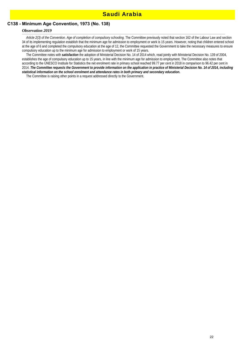## **C138 - Minimum Age Convention, 1973 (No. 138)**

### *Observation 2019*

 *Article 2(3) of the Convention. Age of completion of compulsory schooling.* The Committee previously noted that section 162 of the Labour Law and section 34 of its implementing regulation establish that the minimum age for admission to employment or work is 15 years. However, noting that children entered school at the age of 6 and completed the compulsory education at the age of 12, the Committee requested the Government to take the necessary measures to ensure compulsory education up to the minimum age for admission to employment or work of 15 years.

 The Committee notes with *satisfaction* the adoption of Ministerial Decision No. 14 of 2014 which, read jointly with Ministerial Decision No. 139 of 2004, establishes the age of compulsory education up to 15 years, in line with the minimum age for admission to employment. The Committee also notes that according to the UNESCO Institute for Statistics the net enrolment rate in primary school reached 99.77 per cent in 2018 in comparison to 96.42 per cent in 2014. *The Committee requests the Government to provide information on the application in practice of Ministerial Decision No. 14 of 2014, including statistical information on the school enrolment and attendance rates in both primary and secondary education.*

The Committee is raising other points in a request addressed directly to the Government.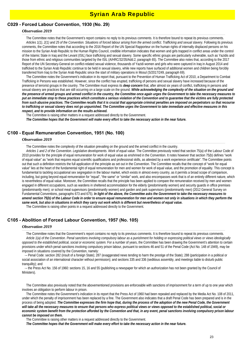### **C029 - Forced Labour Convention, 1930 (No. 29)**

#### *Observation 2019*

 The Committee notes that the Government's report contains no reply to its previous comments. It is therefore bound to repeat its previous comments. *Articles 1(1), 2(1) and 25 of the Convention. Situations of forced labour arising from the armed conflict. Trafficking and sexual slavery.* Following its previous comments, the Committee notes that according to the 2016 Report of the UN Special Rapporteur on the human rights of internally displaced persons on his mission to the Syrian Arab Republic to the Human Rights Council, credible information indicates that women and girls trapped in conflict areas under the control of the Islamic State in Iraq and the Levant (ISIL) face trafficking and sexual slavery. Some specific ethnic groups are particularly vulnerable, such as Yazidis and those from ethnic and religious communities targeted by the ISIL (A/HRC/32/35/Add.2, paragraph 65). The Committee also notes that, according to the 2017 Report of the UN Secretary-General on conflict-related sexual violence, thousands of Yazidi women and girls who were captured in Iraq in August 2014 and trafficked to the Syrian Arab Republic continue to be held in sexual slavery, while new reports have surfaced of additional women and children being forcibly transferred from Iraq to the Syrian Arab Republic since the start of military operations in Mosul (S/2017/249, paragraph 69).

 The Committee notes the Government's indication in its report that, pursuant to the Prevention of Human Trafficking Act of 2010, a Department to Combat Trafficking in Persons was established. However, since the conflict has erupted, trafficking of persons and sexual slavery have increased because of the presence of terrorist groups in the country. The Committee must express its *deep concern* that, after almost six years of conflict, trafficking in persons and sexual slavery are practices that are still occurring on a large scale on the ground. *While acknowledging the complexity of the situation on the ground and the presence of armed groups and armed conflict in the country, the Committee once again urges the Government to take the necessary measures to put an immediate stop to these practices which constitute a serious violation of the Convention and to guarantee that the victims are fully protected from such abusive practices. The Committee recalls that it is crucial that appropriate criminal penalties are imposed on perpetrators so that recourse to trafficking or sexual slavery does not go unpunished. The Committee urges the Government to take immediate and effective measures in this respect, and to provide information on the results achieved.*

The Committee is raising other matters in a request addressed directly to the Government.

*The Committee hopes that the Government will make every effort to take the necessary action in the near future.*

## **C100 - Equal Remuneration Convention, 1951 (No. 100)**

#### *Observation 2019*

The Committee notes the complexity of the situation prevailing on the ground and the armed conflict in the country.

 *Articles 1 and 2 of the Convention. Legislative developments. Work of equal value.* The Committee previously noted that section 75(a) of the Labour Code of 2010 provides for the principle of equal remuneration for work of equal value as enshrined in the Convention. It notes however that section 75(b) defines "work of equal value" as "work that requires equal scientific qualifications and professional skills, as attested by a work experience certificate". The Committee points out that such a definition restricts the full application of the principle as set out in the Convention. The Committee recalls that the concept of "work for equal value" lies at the heart of the fundamental right of equal remuneration for men and women for work of equal value, and the promotion of equality. This concept is fundamental to tackling occupational sex segregation in the labour market, which exists in almost every country, as it permits a broad scope of comparison, including, but going beyond equal remuneration for "equal", "the same" or "similar" work, and also encompasses work that is of an entirely different nature, which is nevertheless of equal value. Moreover, the Committee recalls that the principle has been applied to compare the remuneration received by men and women engaged in different occupations, such as wardens in sheltered accommodation for the elderly (predominantly women) and security guards in office premises (predominantly men); or school meal supervisors (predominantly women) and garden and park supervisors (predominantly men) (2012 General Survey on Fundamental Conventions, paragraphs 673 and 675). *In light of the above, the Committee asks the Government to take the necessary measures to amend section 75(b) of the Labour Code in order to ensure equal remuneration for men and women not only in situations in which they perform the same work, but also in situations in which they carry out work which is different but nevertheless of equal value.*

The Committee is raising other points in a request addressed directly to the Government.

## **C105 - Abolition of Forced Labour Convention, 1957 (No. 105)**

#### *Observation 2019*

 The Committee notes that the Government's report contains no reply to its previous comments. It is therefore bound to repeat its previous comments. *Article 1(a) of the Convention. Penal sanctions involving compulsory labour as a punishment for holding or expressing political views or views ideologically opposed to the established political, social or economic system.* For a number of years, the Committee has been drawing the Government's attention to certain provisions under which penal sanctions involving compulsory prison labour, pursuant to sections 46 and 51 of the Penal Code (Act No. 148 of 1949), may be imposed in situations covered by the Convention, namely:

·– Penal Code: section 282 (insult of a foreign State); 287 (exaggerated news tending to harm the prestige of the State); 288 (participation in a political or social association of an international character without permission); and sections 335 and 336 (seditious assembly, and meetings liable to disturb public tranquility); and

·– the Press Act No. 156 of 1960: sections 15, 16 and 55 (publishing a newspaper for which an authorization has not been granted by the Council of Ministers).

 The Committee also previously noted that the abovementioned provisions are enforceable with sanctions of imprisonment for a term of up to one year which involves an obligation to perform labour in prison.

 The Committee notes the Government's indication in its report that the Press Act of 1960 had been repealed and replaced by the Media Act No. 108 of 2011, under which the penalty of imprisonment has been replaced by a fine. The Government also indicates that a draft Penal Code has been prepared and is in the process of being adopted. *The Committee expresses the firm hope that, during the process of the adoption of the new Penal Code, the Government will take all the necessary measures to ensure that persons who express political views or views opposed to the established political, social or economic system benefit from the protection afforded by the Convention and that, in any event, penal sanctions involving compulsory prison labour cannot be imposed on them.*

The Committee is raising other matters in a request addressed directly to the Government.

*The Committee hopes that the Government will make every effort to take the necessary action in the near future.*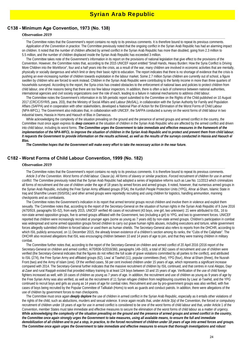## Syrian Arab Republic

### **C138 - Minimum Age Convention, 1973 (No. 138)**

### *Observation 2019*

 The Committee notes that the Government's report contains no reply to its previous comments. It is therefore bound to repeat its previous comments. *Application of the Convention in practice.* The Committee previously noted that the ongoing conflict in the Syrian Arab Republic has had an alarming impact on children. It noted that the number of children affected by armed conflict in the Syrian Arab Republic has more than doubled, going from 2.3 million to 5.5 million, and the number of children displaced inside the Syrian Arab Republic has exceeded 3 million.

 The Committee takes note of the Government's information in its report on the provisions of national legislation that give effect to the provisions of the Convention. However, the Committee notes that, according to the 2015 UNICEF report entitled "Small Hands, Heavy Burden: How the Syria Conflict is Driving More Children into the Workforce", four and a half years into the crisis, as a result of the war, many children are involved in economic activities that are mentally, physically or socially dangerous and which limit or deny their basic right to education. The report indicates that there is no shortage of evidence that the crisis is pushing an ever-increasing number of children towards exploitation in the labour market. Some 2.7 million Syrian children are currently out of school, a figure swollen by children who are forced to work instead. Children in the Syrian Arab Republic were contributing to the family income in more than three quarters of households surveyed. According to the report, the Syria crisis has created obstacles to the enforcement of national laws and policies to protect children from child labour, one of the reasons being that there are too few labour inspectors. In addition, there is often a lack of coherence between national authorities, international agencies and civil society organizations over the role of each, leading to a failure in national mechanisms to address child labour.

 The Committee notes the Government's information in its 5th periodic report submitted to the Committee on the Rights of the Child published on 10 August 2017 (CRC/C/SYR/5, para. 203), that the Ministry of Social Affairs and Labour (MoSAL), in collaboration with the Syrian Authority for Family and Population Affairs (SAFPA) and in cooperation with other stakeholders, developed a National Plan of Action for the Elimination of the Worst Forms of Child Labour (NPA-WFCL). The Government also indicates that, in collaboration with UNICEF, the SAFPA conducted a survey on the worst forms of child labour in two industrial towns, Hassia in Homs and Haouch el Blas in Damascus.

While acknowledging the complexity of the situation prevailing on the ground and the presence of armed groups and armed conflict in the country, the Committee must once again express its *deep concern* at the situation of children in the Syrian Arab Republic who are affected by the armed conflict and driven into child labour, including its worst forms. *The Committee urges the Government to take immediate and effective measures in the framework of the implementation of the NPA-WFCL to improve the situation of children in the Syrian Arab Republic and to protect and prevent them from child labour.*  It requests the Government to provide information on the results achieved, as well as the results of the surveys conducted in Hassia and Haouch el *Blas.*

*The Committee hopes that the Government will make every effort to take the necessary action in the near future.*

### **C182 - Worst Forms of Child Labour Convention, 1999 (No. 182)**

#### *Observation 2019*

 The Committee notes that the Government's report contains no reply to its previous comments. It is therefore bound to repeat its previous comments. *Article 3 of the Convention. Worst forms of child labour. Clause (a). All forms of slavery or similar practices. Forced recruitment of children for use in armed conflict.* The Committee previously noted that the Syrian Arab Republic had adopted a series of legislative reforms such as Law No. 11/2013 which criminalizes all forms of recruitment and the use of children under the age of 18 years by armed forces and armed groups. It noted, however, that numerous armed groups in the Syrian Arab Republic, including the Free Syrian Army affiliated groups (FSA), the Kurdish People Protection Units (YPG), Ahrar al-Sham, Islamic State in Iraq and Sham/the Levant (ISIS/ISIL) and other armed groups were reportedly recruiting and using children for logistics, handling ammunition, manning checkpoints and as combatants.

 The Committee notes the Government's indication in its report that armed terrorist groups recruit children and involve them in violence and exploit them sexually. The Committee notes that, according to the report of the Secretary-General on the situation of human rights in the Syrian Arab Republic of 9 June 2016 (A/70/919, paragraphs 50–52), from early 2015, UNICEF verified 46 cases of recruitment (43 boys, one girl, two unknown): 21 were attributed to ISIL, 16 to non-state armed opposition groups, five to armed groups affiliated with the Government, two (including a girl) to YPG, and two to government forces. UNICEF reported that children were increasingly recruited at younger ages (some as young as 7 years old) by non-state armed groups. Children's participation in combat was widespread and some armed opposition groups forced children to carry out grave human rights abuses, including executions and torture, while government forces allegedly submitted children to forced labour or used them as human shields. The Secretary-General also refers to reports from the OHCHR, according to which ISIL publicly announced, on 11 December 2015, the already known existence of a children's section among its ranks, the "Cubs of the Caliphate". The OHCHR also received allegations that ISIL was encouraging children between 10 and 14 years of age to join, and that they were training children in military combat.

 The Committee further notes that, according to the report of the Secretary-General on children and armed conflict of 20 April 2016 (2016 report of the Secretary-General on children and armed conflict, A/70/836-S/2016/360, paragraphs 148–163), a total of 362 cases of recruitment and use of children were verified (the Secretary-General indicates that the figures do not reflect the full scale of grave violations committed by all parties to the conflict), and attributed to ISIL (274), the Free Syrian Army and affiliated groups (62), Liwa' al Tawhid (11), popular committees (five), YPG (four), Ahrar al-Sham (three), the Nusrah Front (two) and the Army of Islam (one). Of the verified cases, 56 per cent involved children under 15 years of age, which represents a significant increase compared with 2014. The Secretary-General further indicates that the massive recruitment of children by ISIL continued, and that centres in rural Aleppo, Dayr al-Zawr and rural Raqqah existed that provided military training to at least 124 boys between 10 and 15 years of age. Verification of the use of child foreign fighters increased as well, with 18 cases of children as young as 7 years of age. In addition, the recruitment and use of children as young as 9 years of age by the Free Syrian Army was also verified, as well as the recruitment of 11 Syrian refugee children from neighbouring countries by Liwa' al-Tawhid, and the YPG continued to recruit boys and girls as young as 14 years of age for combat roles. Recruitment and use by pro-government groups was also verified, with five cases of boys being recruited by the Popular Committee of Tallkalah (Homs) to work as guards and conduct patrols. In addition, there were allegations of the use of children by government forces to man checkpoints.

 The Committee must once again *deeply deplore* the use of children in armed conflict in the Syrian Arab Republic, especially as it entails other violations of the rights of the child, such as abductions, murders and sexual violence. It once again recalls that, under *Article 3(a)* of the Convention, the forced or compulsory recruitment of children under 18 years of age for use in armed conflict is considered to be one of the worst forms of child labour and that, under Article 1 of the Convention, member States must take immediate and effective measures to secure the elimination of the worst forms of child labour as a matter of urgency. *While acknowledging the complexity of the situation prevailing on the ground and the presence of armed groups and armed conflict in the country, the Committee once again strongly urges the Government to take measures, using all available means, to ensure the full and immediate demobilization of all children and to put a stop, in practice, to the forced recruitment of children under 18 years of age into armed forces and groups. The Committee once again urges the Government to take immediate and effective measures to ensure that thorough investigations and robust*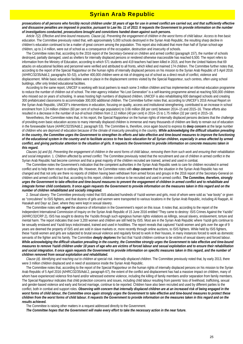## Syrian Arab Republic

*prosecutions of all persons who forcibly recruit children under 18 years of age for use in armed conflict are carried out, and that sufficiently effective and dissuasive penalties are imposed in practice, pursuant to Law No. 11 of 2013. It requests the Government to provide information on the number of investigations conducted, prosecutions brought and convictions handed down against such persons.*

 *Article 7(2). Effective and time-bound measures. Clause (a). Preventing the engagement of children in the worst forms of child labour. Access to free basic education.* The Committee previously noted that, with approximately 5,000 schools destroyed in the Syrian Arab Republic, the resulting sharp decline in children's education continued to be a matter of great concern among the population. This report also indicated that more than half of Syrian school-age children, up to 2.4 million, were out of school as a consequence of the occupation, destruction and insecurity of schools.

 The Committee notes that, according to the 2016 report of the Secretary-General on children and armed conflict (paragraph 157), the number of schools destroyed, partially damaged, used as shelters for internally displaced persons or rendered otherwise inaccessible has reached 6,500. The report refers to information from the Ministry of Education, according to which 571 students and 419 teachers had been killed in 2015, and from the United Nations that 69 attacks on educational facilities and personnel were verified and attributed to all fronts, which killed and maimed 174 children. The Committee further notes that, according to the report of the Special Rapporteur on the human rights of internally displaced persons on his mission to the Syrian Arab Republic of 5 April 2016 (A/HRC/32/35/Add.2, paragraphs 50–53), a further 400,000 children were at risk of dropping out of school as a direct result of conflict, violence and displacement. While basic education facilities were in place in the displacement centres visited by the Special Rapporteur, such centres, often using school buildings, offer only limited educational facilities.

 According to the same report, UNICEF is working with local partners to reach some 3 million children and has implemented an informal education programme to reduce the number of children out of school. The inter-agency initiative "No Lost Generation" is a self-learning programme aimed at reaching 500,000 children who missed out on years of schooling. In areas hosting high numbers of displaced children, UNICEF is also rehabilitating 600 damaged schools and creating 300 prefabricated classrooms to accommodate 300,000 additional children. The Committee further notes that, according to UNICEF's 2016 Annual Report on the Syrian Arab Republic, UNICEF's interventions in education, focusing on quality, access and institutional strengthening, contributed to an increase in school enrolment from 3.24 million children (60 per cent of school-age population) to 3.66 million (68 per cent) between 2014–15 and 2015–16. These efforts also resulted in a decrease in the number of out-of-school children from 2.12 million (40 per cent) in 2014–15 to 1.75 million (32 per cent) in 2015–16.

 Nevertheless, the Committee notes that, in his report, the Special Rapporteur on the human rights of internally displaced persons declares that the challenge of providing even basic education access to many internally displaced children is immense and many thousands of children are likely to remain out of education in the foreseeable future (A/HRC/32/35/Add.2, paragraph 53). The Committee is, therefore, once again bound to express its **deep concern** at the large number of children who are deprived of education because of the climate of insecurity prevailing in the country. *While acknowledging the difficult situation prevailing in the country, the Committee urges the Government to strengthen its efforts and take effective and time-bound measures to improve the functioning of the educational system in the country and to facilitate access to free basic education for all Syrian children, especially in areas affected by armed conflict, and giving particular attention to the situation of girls. It requests the Government to provide information on concrete measures taken in this regard.*

 *Clauses (a) and (b). Preventing the engagement of children in the worst forms of child labour, removing them from such work and ensuring their rehabilitation and social integration.* 1. *Children affected by armed conflict.* The Committee previously noted that the recruitment and use of children in armed conflict in the Syrian Arab Republic had become common and that a great majority of the children recruited are trained, armed and used in combat.

 The Committee notes the Government's indication that the competent authorities in the Syrian Arab Republic seek to care for children recruited in armed conflict and to help them return to ordinary life. However, the Committee notes with *deep concern* that the situation in the Syrian Arab Republic has not changed and that not only are there no reports of children having been withdrawn from armed forces and groups in the 2016 report of the Secretary-General on children and armed conflict but that, according to this report, children continue to be recruited and used in armed conflict. *The Committee, therefore, strongly urges the Government to take effective and time-bound measures to prevent the engagement of children in armed conflict and to rehabilitate and*  integrate former child combatants. It once again requests the Government to provide information on the measures taken in this regard and on the *number of children rehabilitated and socially integrated.*

2. *Sexual slavery.* The Committee previously noted that ISIS abducted hundreds of Yazidi women and girls, most of whom were sold as "war booty" or given as "concubines" to ISIS fighters, and that dozens of girls and women were transported to various locations in the Syrian Arab Republic, including Al Raqqah, Al Hasakah and Dayr az Zawr, where they were kept in sexual slavery.

 The Committee notes with *regret* the absence of information in the Government's report on this issue. It notes that, according to the report of the Independent International Commission of Inquiry on the Syrian Arab Republic of 15 June 2016 entitled "They came to destroy: ISIS Crimes Against the Yazidis" (A/HRC/32/CRP.2), ISIS has sought to destroy the Yazidis through such egregious human rights violations as killings, sexual slavery, enslavement, torture and mental harm. The report indicates that over 3,200 women and children are still held by ISIS. Most are in the Syrian Arab Republic where Yazidi girls continue to be sexually enslaved and Yazidi boys indoctrinated, trained and used in hostilities. The report reveals that captured Yazidi women and girls over the age of 9 years are deemed the property of ISIS and are sold in slave markets or, more recently through online auctions, to ISIS fighters. While held by ISIS fighters, these Yazidi women and girls are subjected to brutal sexual violence and regularly forced to work in their houses, in many instances forced to work as domestic servants of the fighter and his family. The Committee *deeply deplores* the fact that Yazidi children continue to be victims of sexual slavery and forced labour. *While acknowledging the difficult situation prevailing in the country, the Committee strongly urges the Government to take effective and time-bound measures to remove Yazidi children under 18 years of age who are victims of forced labour and sexual exploitation and to ensure their rehabilitation and social integration. It once again requests the Government to provide information on specific measures taken in this regard, and the number of children removed from sexual exploitation and rehabilitated.*

 *Clause (d). Identifying and reaching out to children at special risk. Internally displaced children.* The Committee previously noted that, by early 2013, there were 3 million children displaced and in need of assistance inside the Syrian Arab Republic.

 The Committee notes that, according to the report of the Special Rapporteur on the human rights of internally displaced persons on his mission to the Syrian Arab Republic of 5 April 2016 (A/HRC/32/35/Add.2, paragraph 67), the extent of the conflict and displacement has had a massive impact on children, many of whom have experienced violence first-hand and/or witnessed extreme violence, including the killing of family members and/or separation from family members. The Special Rapporteur indicates that child protection concerns and issues, including child labour resulting from parents' loss of livelihood, trafficking, sexual and gender-based violence and early and forced marriage, continue to be reported. Children have also been recruited and used by different parties to the conflict, both in combat and support roles. Observing with concern that internally displaced children are at an increased risk of being engaged in the *worst forms of child labour, the Committee once again strongly urges the Government to take effective and time-bound measures to protect these children from the worst forms of child labour. It requests the Government to provide information on the measures taken in this regard and on the results achieved.*

The Committee is raising other matters in a request addressed directly to the Government.

*The Committee hopes that the Government will make every effort to take the necessary action in the near future.*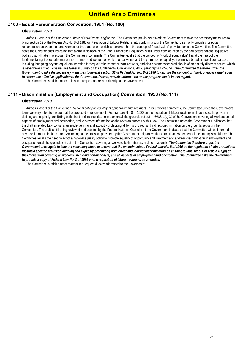## United Arab Emirates

## **C100 - Equal Remuneration Convention, 1951 (No. 100)**

#### *Observation 2019*

 *Articles 1 and 2 of the Convention. Work of equal value. Legislation.* The Committee previously asked the Government to take the necessary measures to bring section 32 of the Federal Act No. 8 of 1980 on Regulation of Labour Relations into conformity with the Convention, as it only provides for equal remuneration between men and women for the same work, which is narrower than the concept of "equal value" provided for in the Convention. The Committee notes the Government's indication that a draft legislation of the Labour Relations Regulation is still under consideration by the competent national legislative bodies that will take into account the Committee's comments. The Committee recalls that the concept of "work of equal value" lies at the heart of the fundamental right of equal remuneration for men and women for work of equal value, and the promotion of equality. It permits a broad scope of comparison, including, but going beyond equal remuneration for "equal", "the same" or "similar" work, and also encompasses work that is of an entirely different nature, which is nevertheless of equal value (see General Survey on the fundamental Conventions, 2012, paragraphs 672–679). *The Committee therefore urges the Government to take the necessary measures to amend section 32 of Federal Act No. 8 of 1980 to capture the concept of "work of equal value" so as to ensure the effective application of the Convention. Please, provide information on the progress made in this regard.* The Committee is raising other points in a request addressed directly to the Government.

## **C111 - Discrimination (Employment and Occupation) Convention, 1958 (No. 111)**

#### *Observation 2019*

 *Articles 2 and 3 of the Convention. National policy on equality of opportunity and treatment.* In its previous comments, the Committee urged the Government to make every effort to ensure that the proposed amendments to Federal Law No. 8 of 1980 on the regulation of labour relations include a specific provision defining and explicitly prohibiting both direct and indirect discrimination on all the grounds set out in *Article 1(1)(a)* of the Convention, covering all workers and all aspects of employment and occupation, and to provide information on the revision process of this Law. The Committee notes the Government's indication that the draft amended Law contains an article defining and explicitly prohibiting all forms of direct and indirect discrimination on the grounds set out in the Convention. The draft is still being reviewed and debated by the Federal National Council and the Government indicates that the Committee will be informed of any developments in this regard. According to the statistics provided by the Government, migrant workers constitute 85 per cent of the country's workforce. The Committee recalls the need to adopt a national equality policy to promote equality of opportunity and treatment and address discrimination in employment and occupation on all the grounds set out in the Convention covering all workers, both nationals and non-nationals. *The Committee therefore urges the Government once again to take the necessary steps to ensure that the amendments to Federal Law No. 8 of 1980 on the regulation of labour relations include a specific provision defining and explicitly prohibiting both direct and indirect discrimination on all the grounds set out in Article 1(1)(a) of the Convention covering all workers, including non-nationals, and all aspects of employment and occupation. The Committee asks the Government to provide a copy of Federal Law No. 8 of 1980 on the regulation of labour relations, as amended.*

The Committee is raising other matters in a request directly addressed to the Government.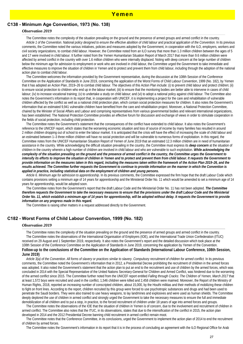### **C138 - Minimum Age Convention, 1973 (No. 138)**

#### *Observation 2019*

 The Committee notes the complexity of the situation prevailing on the ground and the presence of armed groups and armed conflict in the country. *Article 1 of the Convention. National policy designed to ensure the effective abolition of child labour and practical application of the Convention.* In its previous comments, the Committee noted the various initiatives, policies and measures adopted by the Government, in cooperation with the ILO, employers, workers and civil society organizations, to combat child labour. However, the Committee noted from an ILO survey that more than 1.3 million children between the ages of 5 and 17 were involved in child labour. It further noted from the Yemen Humanitarian Situation Report of March 2017 that more than 9.6 million children were affected by armed conflict in the country with over 1.6 million children who were internally displaced. Noting with deep concern at the large number of children below the minimum age for admission to employment or work who are involved in child labour, the Committee urged the Government to take immediate and effective measures to improve the situation of children in Yemen and to protect and prevent them from child labour, including through the adoption of the national action plan to combat child labour.

 The Committee welcomes the information provided by the Government representative, during the discussion at the 108th Session of the Conference Committee on the Application of Standards in June 2019, concerning the application of the Worst Forms of Child Labour Convention, 1999 (No. 182), by Yemen that it has adopted an Action Plan, 2019–26 to combat child labour. The objectives of this Action Plan include: (i) to prevent child labour and protect children; (ii) to ensure social protection to children who end up in the labour market; (iii) to ensure that the monitoring bodies are better able to intervene in cases of child labour; (iv) to increase vocational training; (v) to undertake a study on child labour; and (vi) to adopt a national policy against child labour. The Committee also notes the Government's information in its report that, in cooperation with UNICEF, it is implementing a project for the care and rehabilitation of vulnerable children affected by the conflict as well as a national child protection plan, which contain social protection measures for children. It also notes the Government's information that an estimated 9,941 vulnerable children have benefited from the care and rehabilitation project. Moreover, a National Protection Committee, chaired by the Minister of Social Affairs and Labour and comprising representatives from various governmental bodies and relevant international organizations, has been established. The National Protection Committee provides an effective forum for discussion and exchange of views in order to stimulate cooperation in the fields of social protection, including child protection.

 The Committee notes the Government's statement that the consequences of the conflict have extended to child labour. It also notes the Government's reference to the UNICEF report, which states that the worsening economic situation and loss of source of income by many families has resulted in around 2 million children dropping out of school to enter the labour market. It is anticipated that the crisis will have the effect of increasing the scale of child labour and an estimated between 1–3 three million children will have no social protection and will be vulnerable to numerous forms of exploitation. In this regard, the Committee notes from the UNICEF Humanitarian Situation Report of Yemen of June 2019 that an estimated 12.3 million children are in need of humanitarian assistance in the country. While acknowledging the difficult situation prevailing in the country, the Committee must express its *deep concern* at the situation of children in the country wherein a high number of children are involved in child labour and who are vulnerable to such exploitation. *While acknowledging the complexity of the situation prevailing on the ground and the presence of armed conflict in the country, the Committee urges the Government to intensify its efforts to improve the situation of children in Yemen and to protect and prevent them from child labour. It requests the Government to provide information on the measures taken in this regard, including the measures taken within the framework of the Action Plan 2019–26, and the results achieved. The Committee further requests the Government to continue to provide information on the manner in which the Convention is applied in practice, including statistical data on the employment of children and young persons.*

 *Article 6. Minimum age for admission to apprenticeship.* In its previous comments, the Committee expressed the firm hope that the draft Labour Code which contains provisions setting a minimum age of 14 years for apprenticeship and the Ministerial Order No. 11 which would be amended to set a minimum age of 14 years for apprenticeship, would be adopted soon.

 The Committee notes from the Government's report that the draft Labour Code and the Ministerial Order No. 11 has not been adopted. *The Committee therefore requests the Government to take the necessary measures to ensure that the provisions under the draft Labour Code and the Ministerial Order No. 11, which establish a minimum age of 14 years for apprenticeship, will be adopted without delay. It requests the Government to provide information on any progress made in this regard.*

The Committee is raising other matters in a request addressed directly to the Government.

#### **C182 - Worst Forms of Child Labour Convention, 1999 (No. 182)**

#### *Observation 2019*

 The Committee notes the complexity of the situation prevailing on the ground and the presence of armed groups and armed conflict in the country. The Committee notes the observations of the International Organisation of Employers (IOE), and the International Trade Union Confederation (ITUC) received on 29 August and 1 September 2019, respectively. It also notes the Government's report and the detailed discussion which took place at the 108th Session of the Conference Committee on the Application of Standards in June 2019, concerning the application by Yemen of the Convention. **Follow-up to the conclusions of the Committee on the Application of Standards (International Labour Conference, 108th Session, June 2019)**

 *Article 3(a) of the Convention. All forms of slavery or practices similar to slavery. Compulsory recruitment of children for armed conflict.* In its previous comments, the Committee noted the Government's information that in 2012, a Presidential Decree prohibiting the recruitment of children in the armed forces was adopted. It also noted the Government's statement that the action plan to put an end to the recruitment and use of children by the armed forces, which was concluded in 2014 with the Special Representative of the United Nations Secretary-General for Children and Armed Conflict, was hindered due to the worsening of the armed conflict since 2015. The Committee further noted from the UNICEF report entitled *Falling through Cracks: The Children of Yemen, March 2017* that at least 1,572 boys were recruited and used in the conflict, 1,546 children were killed and 2,458 children were maimed. Moreover, the Report of the Ministry of Human Rights, 2018, reported an increasing number of conscripted children, about 15,000, by the Houthi militias and their methods of mobilizing these children to fight on front lines. According to the report, children recruited by this group were forced to use psychotropic substances and drugs and had been used to penetrate the Saudi borders. They were also trained to use heavy weapons, to lay landmines and explosives and were used as human shields. The Committee deeply deplored the use of children in armed conflict and strongly urged the Government to take the necessary measures to ensure the full and immediate demobilization of all children and to put a stop, in practice, to the forced recruitment of children under 18 years of age into armed forces and groups.

 The Committee notes the observations of the IOE that the situation of children in Yemen is of concern, due to the involvement and recruitment of children in armed conflict. The Committee also notes that the ITUC, in its observations, states that due to the intensification of the conflict in 2015, the action plan developed in 2014 and the 2012 Presidential Decree banning child recruitment in armed conflict remain moot.

 The Committee notes that the Conference Committee, in its conclusions, urged the Government to implement the action plan of 2014 to end the recruitment of children by armed forces.

The Committee notes the Government's information in its report that it is in the process of concluding an agreement with the ILO Regional Office for Arab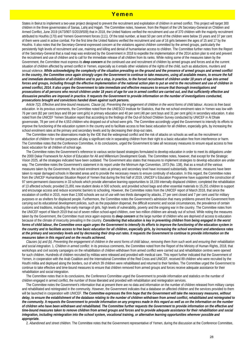## Yemen

States in Beirut to implement a two-year project designed to prevent the recruitment and exploitation of children in armed conflict. This project will target 300 children in the three governorates of Sanaa, Lahij and Hajjah. The Committee notes, however, from the Report of the UN Secretary-General on Children and Armed Conflict, June 2019 (A/73/907-S/2019/509) that in 2018, the United Nations verified the recruitment and use of 370 children with the majority recruitment attributed to Houthis (170) and Yemeni Government forces (111). Of the total number, at least 50 per cent of the children were below 15 years and 37 per cent of them were used in active combat. For the first time the United Nations verified the recruitment and use of 16 girls between the ages of 15 and 17 by the Houthis. It also notes that the Secretary-General expressed concern at the violations against children committed by the armed groups, particularly the persistently high levels of recruitment and use, maiming and killing and denial of humanitarian access to children. The Committee further notes from the Report of the Secretary-General that a road map was endorsed by the Government in 2018 to expedite the implementation of the 2014 action plan to end and prevent the recruitment and use of children and to call for the immediate release of all children from its ranks. While noting some of the measures taken by the Government, the Committee must express its *deep concern* at the continued use and recruitment of children by armed groups and forces and at the current situation of children affected by armed conflict in Yemen, especially as it entails other violations of the rights of the child, such as abductions, murders and sexual violence. *While acknowledging the complexity of the situation prevailing on the ground and the presence of armed groups and armed conflict in the country, the Committee once again strongly urges the Government to continue to take measures, using all available means, to ensure the full and immediate demobilization of all children and to put a stop, in practice, to the forced recruitment of children under 18 years of age into armed forces and groups, including through the effective implementation of the national action plan to put an end to the recruitment and use of children in armed conflict, 2014. It also urges the Government to take immediate and effective measures to ensure that thorough investigations and prosecutions of all persons who recruit children under 18 years of age for use in armed conflict are carried out, and that sufficiently effective and dissuasive penalties are imposed in practice. It requests the Government to provide information on the number of investigations conducted, prosecutions brought and convictions handed down against such persons.*

 *Article 7(2). Effective and time-bound measures. Clause (a). Preventing the engagement of children in the worst forms of child labour. Access to free basic*  education. In its previous comments, the Committee noted from the UNESCO Institute for Statistics, that the net school enrolment rates in Yemen was low with 76 per cent (82 per cent boys and 69 per cent girls) in primary education and 40 per cent (48 per cent boys and 31 per cent girls) in secondary education. It also noted from the UNICEF Yemen Situation report that according to the findings of the Out-of-School Children Survey conducted by UNICEF in Al Dhale governorate, 78 per cent of the 4,553 children who dropped out of school were girls. The Committee accordingly urged the Government to intensify its efforts to improve the functioning of the education system in the country and to facilitate access to free basic education for all children, especially girls, by increasing the school enrolment rates at the primary and secondary levels and by decreasing their drop-out rates.

 The Committee notes the observations made by the IOE that the widespread conflict and the risk of attacks on schools as well as the recruitment or abduction of children for combat purposes all play a significant role in separating children from their right to a basic education free from interference or harm. The Committee notes that the Conference Committee, in its conclusions, urged the Government to take all necessary measures to ensure equal access to free basic education for all children of school age.

 The Committee notes the Government's reference to various sector-based strategies formulated to develop education in order to meet its obligations under the 2000 Dakar Framework for Action of Education for All and Millennium Development Goals. The Committee notes, however, that except for the Strategic Vision 2025, all the strategies indicated have been outdated. The Government also states that measures to implement strategies to develop education are under way. The Committee notes the Government's statement in its report under the Minimum Age Convention, 1973 (No. 138), that as a result of the various measures taken by the Government, the school enrolment rates at primary and secondary level have increased substantially. Moreover, measures have been taken to repair damaged schools in liberated areas and to provide the necessary means to ensure continuity of education. In this regard, the Committee notes from the UNICEF Humanitarian Situation Report of Yemen that during the first half of 2019, UNICEF's Education Programme have supported the construction of 97 semi-permanent classrooms in 33 schools which provide alternative learning opportunities to 18,159 internally displaced children; completed the rehabilitation of 13 affected schools; provided 21,891 new student desks in 500 schools; and provided school bags and other essential materials to 15,251 children to support and encourage access and reduce economic barriers to schooling. However, the Committee notes from the UNICEF report of March 2018, that since the escalation of conflict in 2015, more than 2,500 schools are out of use with two thirds damaged by attacks, 27 per cent closed and 7 per cent used for military purposes or as shelters for displaced people. Furthermore, the Committee notes the Government's admission that many problems prevent the Government from carrying out its educational development policies, such as the population dispersal, the difficult economic and social circumstances, the prevalence of certain customs and traditions, including the early marriage of girls, high levels of vulnerability, poverty and the ongoing war in the country. The Committee notes from the UNICEF report of March 2019 that out of seven million school-aged children, over two million children are already out of school. While noting the measures taken by the Government, the Committee must once again express its *deep concern* at the large number of children who are deprived of access to education because of the climate of insecurity prevailing in the country. *Considering that education is key in preventing children from being engaged in the worst*  forms of child labour, the Committee once again urges the Government to intensify its efforts to improve the functioning of the education system in *the country and to facilitate access to free basic education for all children, especially girls, by increasing the school enrolment and attendance rates at the primary and secondary levels and by decreasing their drop-out rates. It requests the Government to continue to provide information on the measures taken in this regard and on the results achieved.*

 *Clauses (a) and (b). Preventing the engagement of children in the worst forms of child labour, removing them from such work and ensuring their rehabilitation and social integration.* 1. *Children in armed conflict.* In its previous comments, the Committee noted from the Report of the Ministry of Human Rights, 2018, that workshops and civil society campaigns on the rehabilitation of children withdrawn from armed conflict were carried out and rehabilitation centres were opened for such children. Hundreds of children recruited by militias were released and provided with medical care. This report further indicated that the Government of Yemen, in cooperation with the Arab Coalition and the International Committee of the Red Cross and UNICEF, received 89 children who were recruited by the Houthi militia and deployed along the borders, out of which 39 children were rehabilitated and returned to their families. The Committee urged the Government to continue to take effective and time-bound measures to ensure that children removed from armed groups and forces receive adequate assistance for their rehabilitation and social integration.

 The Committee notes that in its conclusions, the Conference Committee urged the Government to provide information and statistics on the number of children engaged in armed conflict, the number of those liberated and provided with rehabilitation and reintegration services.

 The Committee notes the Government's information that at present there are no data and information on the number of children released from military camps and rehabilitated and reintegrated in the community. However, the Government indicates that a database on affected children and the services provided to them will be launched in cooperation with UNICEF. *The Committee expresses the firm hope that the Government will take the necessary measures, without delay, to ensure the establishment of the database relating to the number of children withdrawn from armed conflict, rehabilitated and reintegrated to the community. It requests the Government to provide information on any progress made in this regard as well as on the information on the number of children who have been withdrawn and rehabilitated. The Committee further requests the Government to provide information on the effective and time-bound measures taken to remove children from armed groups and forces and to provide adequate assistance for their rehabilitation and social integration, including reintegration into the school system, vocational training, or alternative learning opportunities wherever possible and appropriate.*

2. *Abandoned and street children.* The Committee notes that the Government representative of Yemen, during the discussion at the Conference Committee,